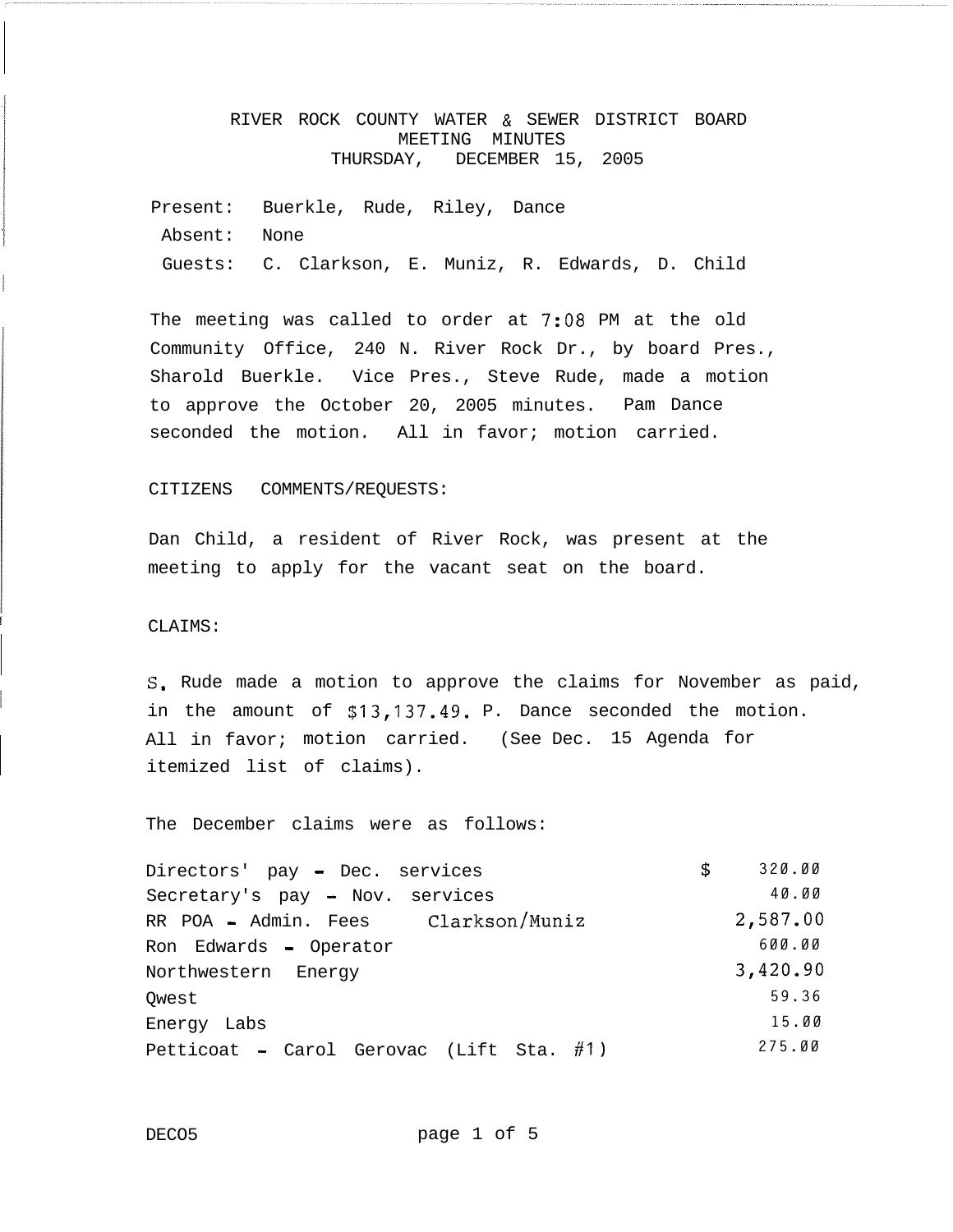# RIVER ROCK COUNTY WATER & SEWER DISTRICT BOARD MEETING MINUTES THURSDAY, DECEMBER 15, 2005

Present: Buerkle, Rude, Riley, Dance Absent: None Guests: C. Clarkson, E. Muniz, R. Edwards, D. Child

The meeting was called to order at 7:08 PM at the old Community Office, 240 N. River Rock Dr., by board Pres., Sharold Buerkle. Vice Pres., Steve Rude, made a motion to approve the October 20, 2005 minutes. Pam Dance seconded the motion. All in favor; motion carried.

### CITIZENS COMMENTS/REQUESTS:

Dan Child, a resident of River Rock, was present at the meeting to apply for the vacant seat on the board.

# CLAIMS:

I

S. Rude made a motion to approve the claims for November as paid, in the amount of **\$13,137.49.** P. Dance seconded the motion. All in favor; motion carried. (See Dec. 15 Agenda for itemized list of claims).

The December claims were as follows:

| Directors' pay - Dec. services              | \$<br>320.00 |
|---------------------------------------------|--------------|
| Secretary's pay - Nov. services             | 40.00        |
| RR POA - Admin. Fees Clarkson/Muniz         | 2,587.00     |
| Ron Edwards - Operator                      | 600.00       |
| Northwestern Energy                         | 3,420.90     |
| Owest                                       | 59.36        |
| Energy Labs                                 | 15.00        |
| Petticoat - Carol Gerovac (Lift Sta. $#1$ ) | 275.00       |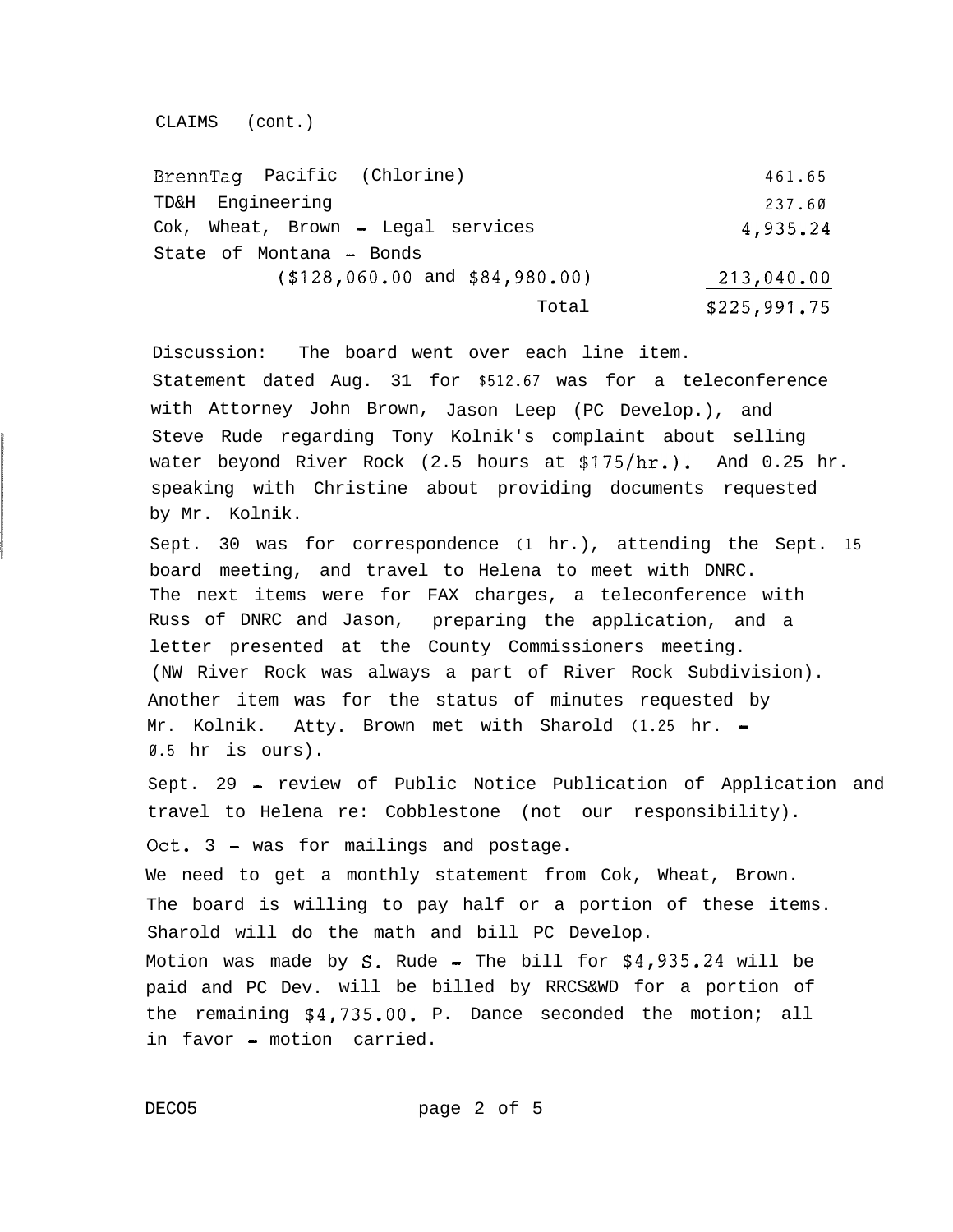CLAIMS (cont.)

| BrennTaq Pacific (Chlorine)        | 461.65       |
|------------------------------------|--------------|
| TD&H Engineering                   | 237.60       |
| Cok, Wheat, Brown - Legal services | 4,935.24     |
| State of Montana - Bonds           |              |
| $(128, 060.00$ and $184, 980.00)$  | 213,040.00   |
| Total                              | \$225,991.75 |

Discussion: The board went over each line item. Statement dated Aug. 31 for **\$512.67** was for a teleconference with Attorney John Brown, Jason Leep (PC Develop.), and Steve Rude regarding Tony Kolnik's complaint about selling water beyond River Rock (2.5 hours at \$175/hr.). And 0.25 hr. speaking with Christine about providing documents requested by Mr. Kolnik.

Sept. 30 was for correspondence **(1** hr.), attending the Sept. **15** board meeting, and travel to Helena to meet with DNRC. The next items were for FAX charges, a teleconference with Russ of DNRC and Jason, preparing the application, and a letter presented at the County Commissioners meeting. (NW River Rock was always a part of River Rock Subdivision). Another item was for the status of minutes requested by Mr. Kolnik. Atty. Brown met with Sharold (1.25 hr. -**0.5** hr is ours).

Sept. 29 - review of Public Notice Publication of Application and travel to Helena re: Cobblestone (not our responsibility). Oct.  $3$  - was for mailings and postage. We need to get a monthly statement from Cok, Wheat, Brown. The board is willing to pay half or a portion of these items. Sharold will do the math and bill PC Develop. Motion was made by S. Rude - The bill for  $$4,935.24$  will be paid and PC Dev. will be billed by RRCS&WD for a portion of the remaining \$4,735.00. P. Dance seconded the motion; all in favor - motion carried.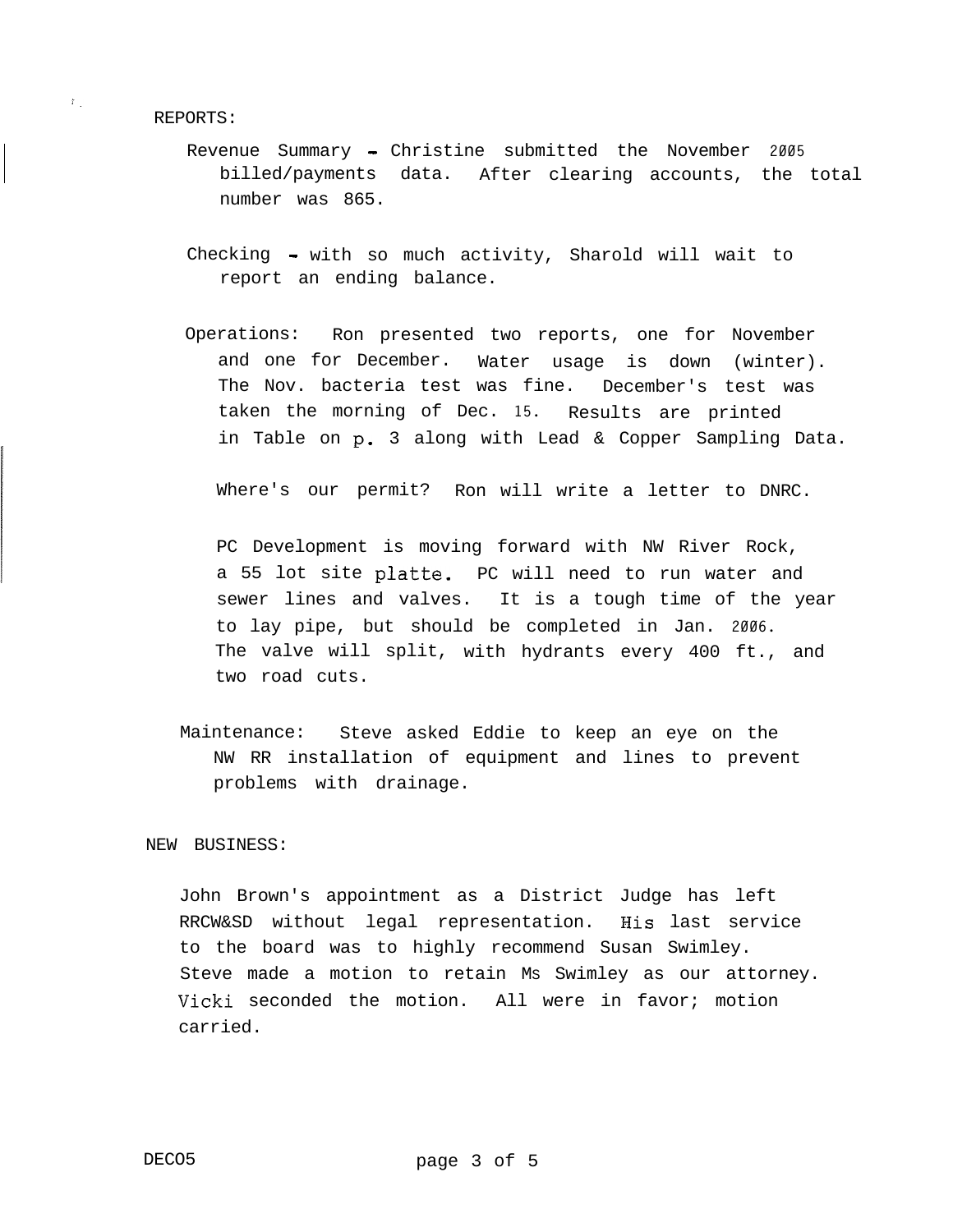REPORTS:

 $\mathbb{F}_{\geq 0}$ 

- Revenue Summary Christine submitted the November **2005** billed/payments data. After clearing accounts, the total number was 865.
- Checking with so much activity, Sharold will wait to report an ending balance.
- Operations: Ron presented two reports, one for November and one for December. Water usage is down (winter). The Nov. bacteria test was fine. December's test was taken the morning of Dec. **15.** Results are printed in Table on p. 3 along with Lead & Copper Sampling Data.

Where's our permit? Ron will write a letter to DNRC.

PC Development is moving forward with NW River Rock, a 55 lot site platte. PC will need to run water and sewer lines and valves. It is a tough time of the year to lay pipe, but should be completed in Jan. **2006.** The valve will split, with hydrants every 400 ft., and two road cuts.

Maintenance: Steve asked Eddie to keep an eye on the NW RR installation of equipment and lines to prevent problems with drainage.

### NEW BUSINESS:

John Brown's appointment as a District Judge has left RRCW&SD without legal representation. His last service to the board was to highly recommend Susan Swimley. Steve made a motion to retain MS Swimley as our attorney. Vicki seconded the motion. All were in favor; motion carried.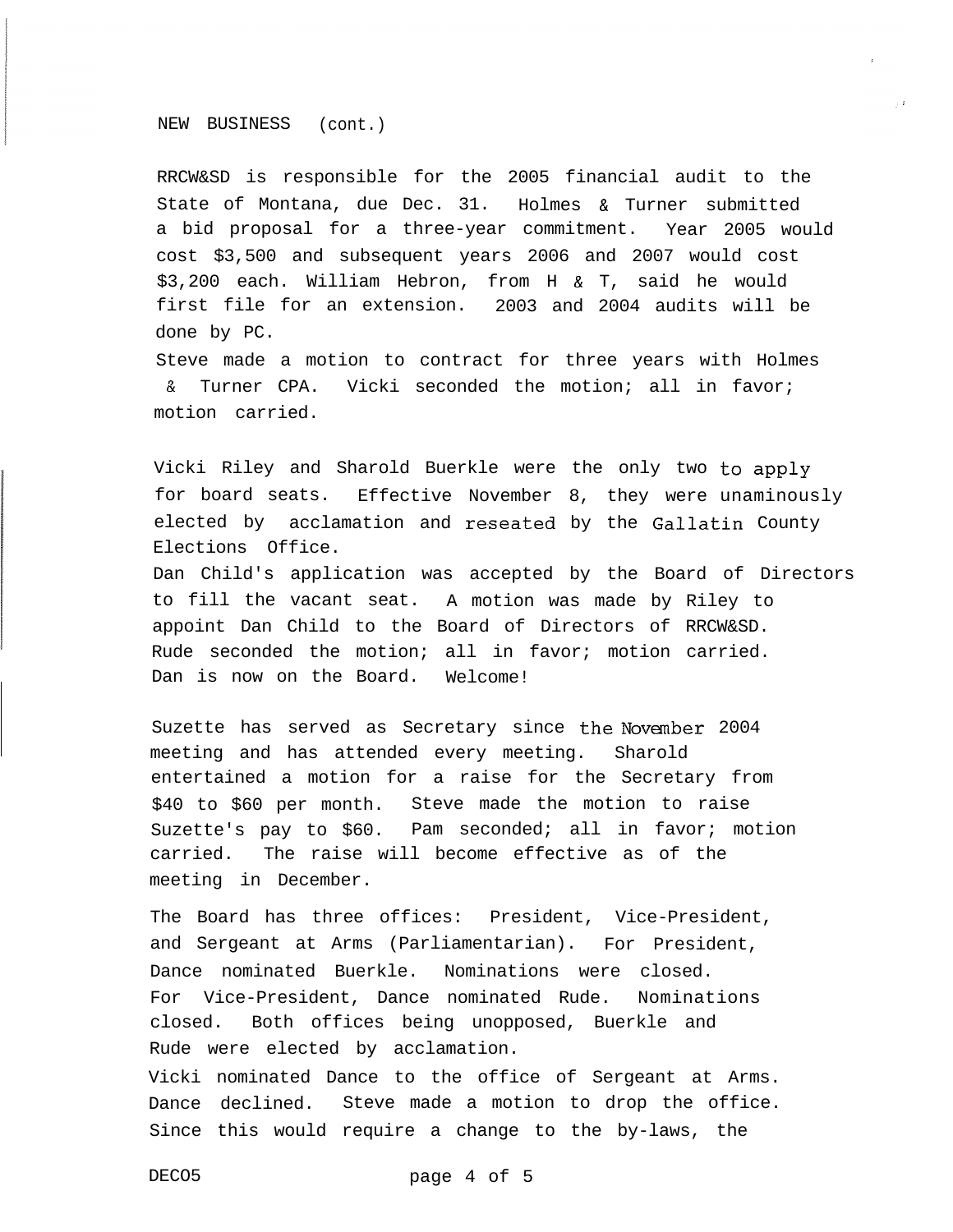### NEW BUSINESS (cont.)

RRCW&SD is responsible for the 2005 financial audit to the State of Montana, due Dec. 31. Holmes & Turner submitted a bid proposal for a three-year commitment. Year 2005 would cost \$3,500 and subsequent years 2006 and 2007 would cost \$3,200 each. William Hebron, from H & T, said he would first file for an extension. 2003 and 2004 audits will be done by PC.

Steve made a motion to contract for three years with Holmes & Turner CPA. Vicki seconded the motion; all in favor; motion carried.

Vicki Riley and Sharold Buerkle were the only two to apply for board seats. Effective November 8, they were unaminously elected by acclamation and reseated by the Gallatin County Elections Office.

Dan Child's application was accepted by the Board of Directors to fill the vacant seat. A motion was made by Riley to appoint Dan Child to the Board of Directors of RRCW&SD. Rude seconded the motion; all in favor; motion carried. Dan is now on the Board. Welcome!

Suzette has served as Secretary since the November 2004 meeting and has attended every meeting. Sharold entertained a motion for a raise for the Secretary from \$40 to \$60 per month. Steve made the motion to raise Suzette's pay to \$60. Pam seconded; all in favor; motion carried. The raise will become effective as of the meeting in December.

The Board has three offices: President, Vice-President, and Sergeant at Arms (Parliamentarian). For President, Dance nominated Buerkle. Nominations were closed. For Vice-President, Dance nominated Rude. Nominations closed. Both offices being unopposed, Buerkle and Rude were elected by acclamation. Vicki nominated Dance to the office of Sergeant at Arms. Dance declined. Steve made a motion to drop the office. Since this would require a change to the by-laws, the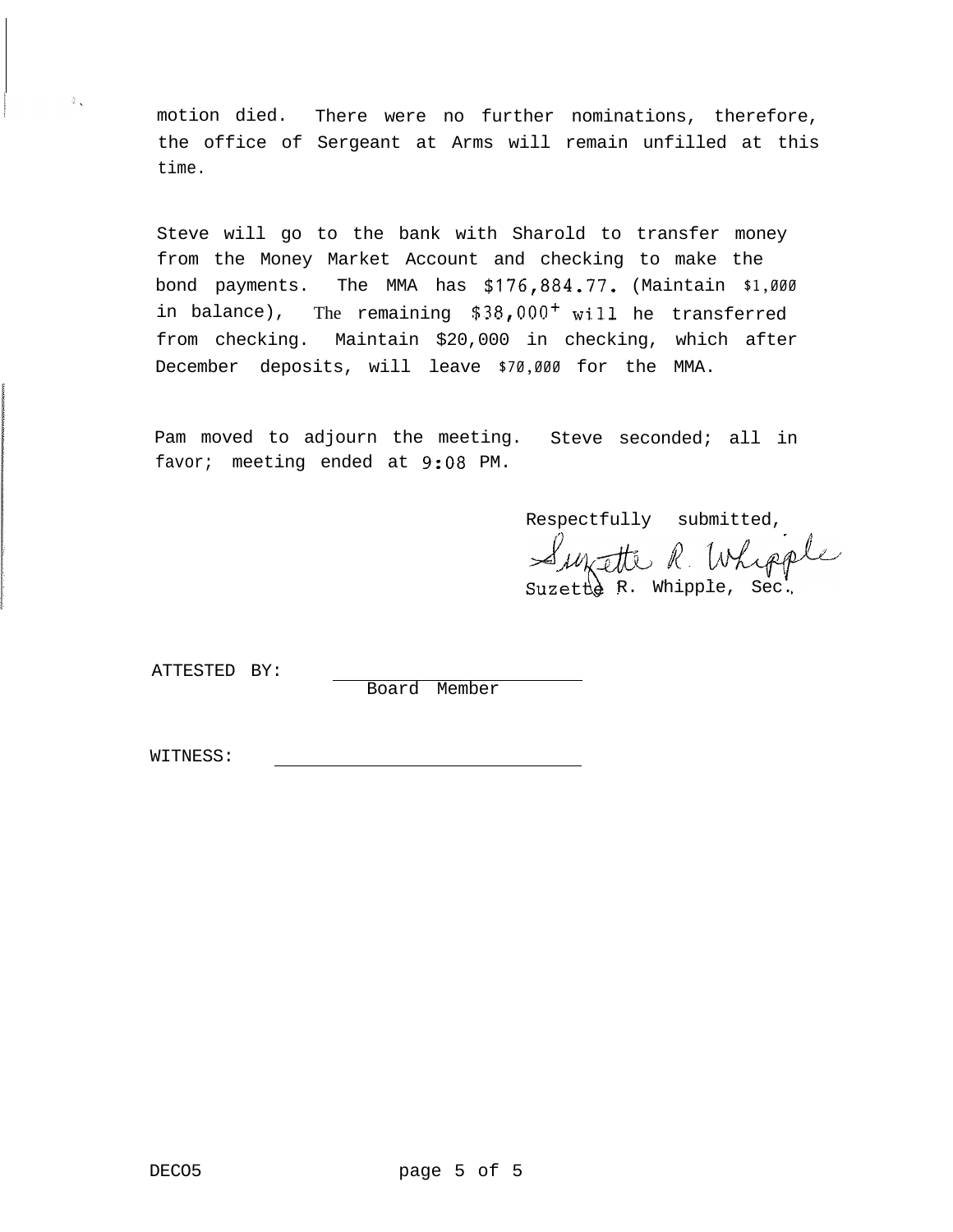motion died. There were no further nominations, therefore, the office of Sergeant at Arms will remain unfilled at this time.

Steve will go to the bank with Sharold to transfer money from the Money Market Account and checking to make the bond payments. The MMA has **\$176,884.77.** (Maintain **\$1,000** in balance), The remaining  $$38,000<sup>+</sup>$  will he transferred from checking. Maintain \$20,000 in checking, which after December deposits, will leave **\$70,000** for the MMA.

Pam moved to adjourn the meeting. Steve seconded; all in favor; meeting ended at 9:08 PM.

Respectfully submitted, Suzetté R. Whipple

ATTESTED BY:

Board Member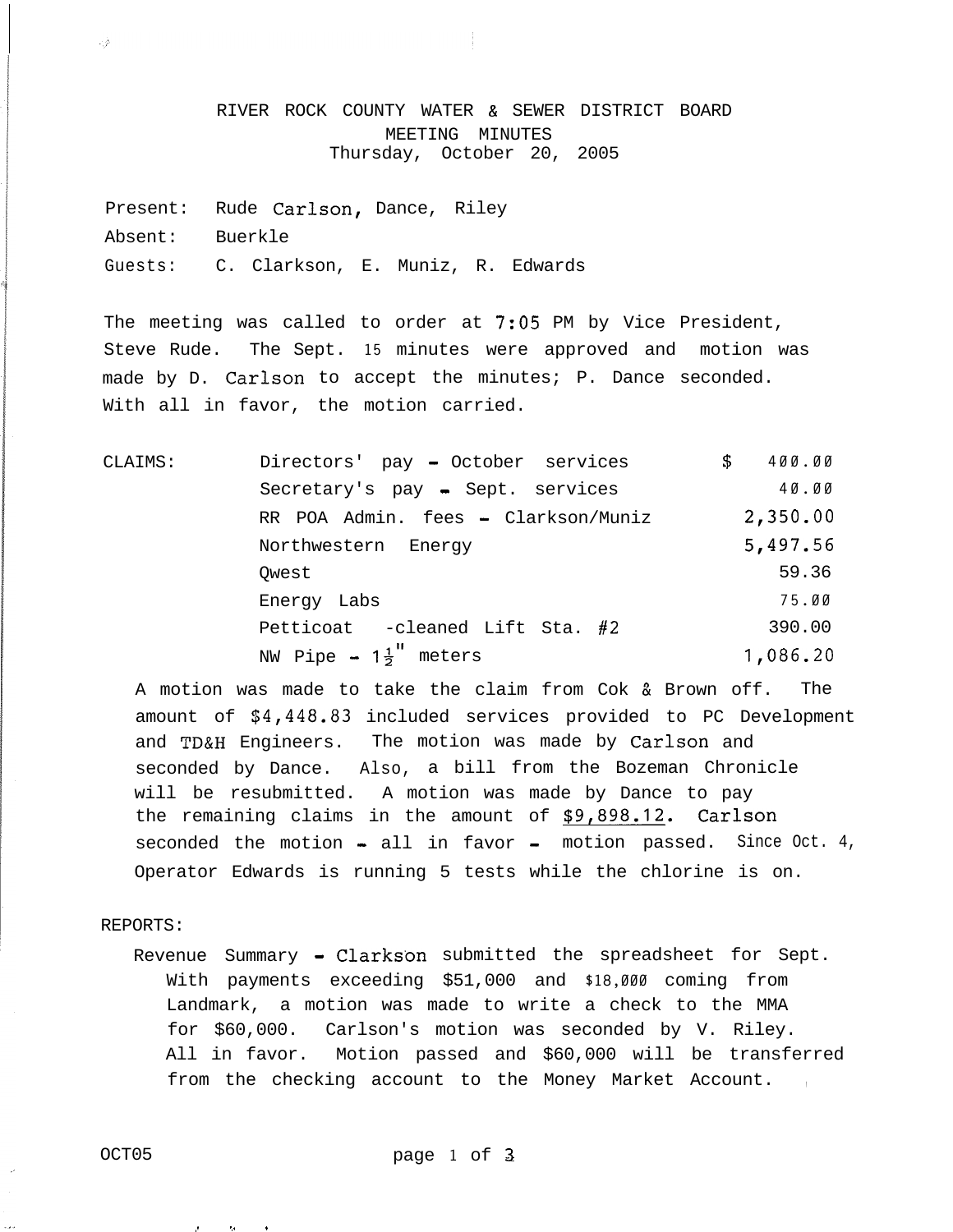RIVER ROCK COUNTY WATER & SEWER DISTRICT BOARD MEETING MINUTES Thursday, October 20, 2005

Present: Rude Carlson, Dance, Riley Absent: Buerkle Guests: C. Clarkson, E. Muniz, R. Edwards

The meeting was called to order at 7:05 PM by Vice President, Steve Rude. The Sept. **15** minutes were approved and motion was made by D. Carlson to accept the minutes; P. Dance seconded. With all in favor, the motion carried.

CLAIMS: Directors' pay - October services \$ **400.00** Secretary's pay - Sept. services 40.00 RR POA Admin. fees - Clarkson/Muniz **2,350.OO** Northwestern Energy 5,497.56  $Qwest$  59.36 Energy Labs **75.00** Petticoat -cleaned Lift Sta. #2 390.00 NW Pipe  $-1\frac{1}{2}$  meters **1,086.20** 

A motion was made to take the claim from Cok & Brown off. The amount of \$4,448.83 included services provided to PC Development and TD&H Engineers. The motion was made by Carlson and seconded by Dance. Also, a bill from the Bozeman Chronicle will be resubmitted. A motion was made by Dance to pay the remaining claims in the amount of **\$9,898.12.** Carlson seconded the motion - all in favor - motion passed. Since Oct. 4, Operator Edwards is running 5 tests while the chlorine is on.

REPORTS:

同会

Revenue Summary - Clarkson submitted the spreadsheet for Sept. With payments exceeding \$51,000 and **\$18,000** coming from Landmark, a motion was made to write a check to the MMA for \$60,000. Carlson's motion was seconded by V. Riley. All in favor. Motion passed and \$60,000 will be transferred from the checking account to the Money Market Account.

,. .,. .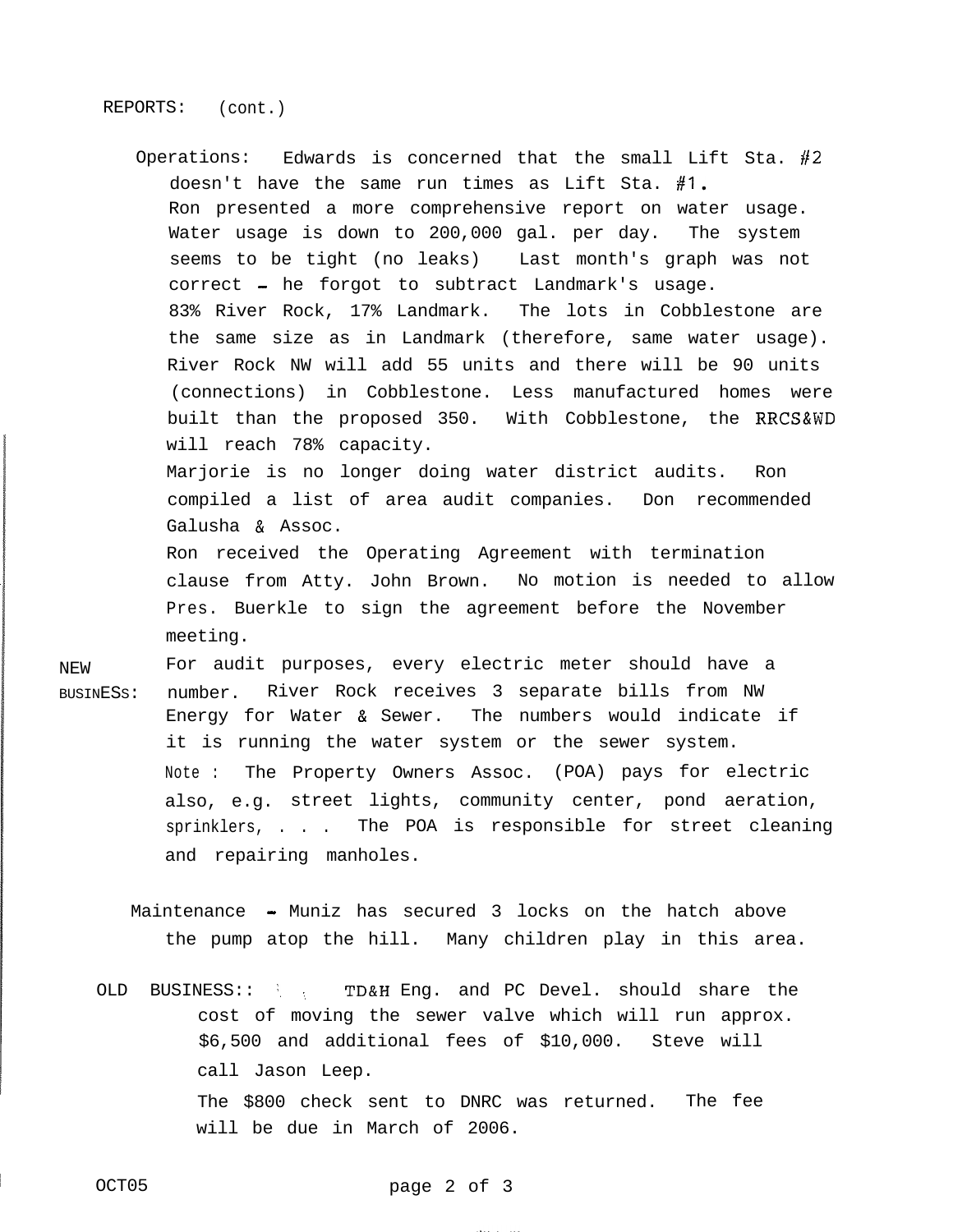### REPORTS: (cont.)

Operations: Edwards is concerned that the small Lift Sta.  $#2$ doesn't have the same run times as Lift Sta. **#I.** Ron presented a more comprehensive report on water usage. Water usage is down to 200,000 gal. per day. The system seems to be tight (no leaks) Last month's graph was not correct - he forgot to subtract Landmark's usage. 83% River Rock, 17% Landmark. The lots in Cobblestone are the same size as in Landmark (therefore, same water usage). River Rock NW will add 55 units and there will be 90 units (connections) in Cobblestone. Less manufactured homes were built than the proposed 350. With Cobblestone, the RRCS&WD will reach 78% capacity.

Marjorie is no longer doing water district audits. Ron compiled a list of area audit companies. Don recommended Galusha & Assoc.

Ron received the Operating Agreement with termination clause from Atty. John Brown. No motion is needed to allow Pres. Buerkle to sign the agreement before the November meeting.

NEW For audit purposes, every electric meter should have a BUSINESS: number. River Rock receives 3 separate bills from NW Energy for Water & Sewer. The numbers would indicate if it is running the water system or the sewer system. Note : The Property Owners Assoc. (POA) pays for electric also, e.g. street lights, community center, pond aeration, sprinklers, . . . The POA is responsible for street cleaning and repairing manholes.

Maintenance - Muniz has secured 3 locks on the hatch above the pump atop the hill. Many children play in this area.

OLD BUSINESS:: : TD&H Eng. and PC Devel. should share the cost of moving the sewer valve which will run approx. \$6,500 and additional fees of \$10,000. Steve will call Jason Leep. The \$800 check sent to DNRC was returned. The fee will be due in March of 2006.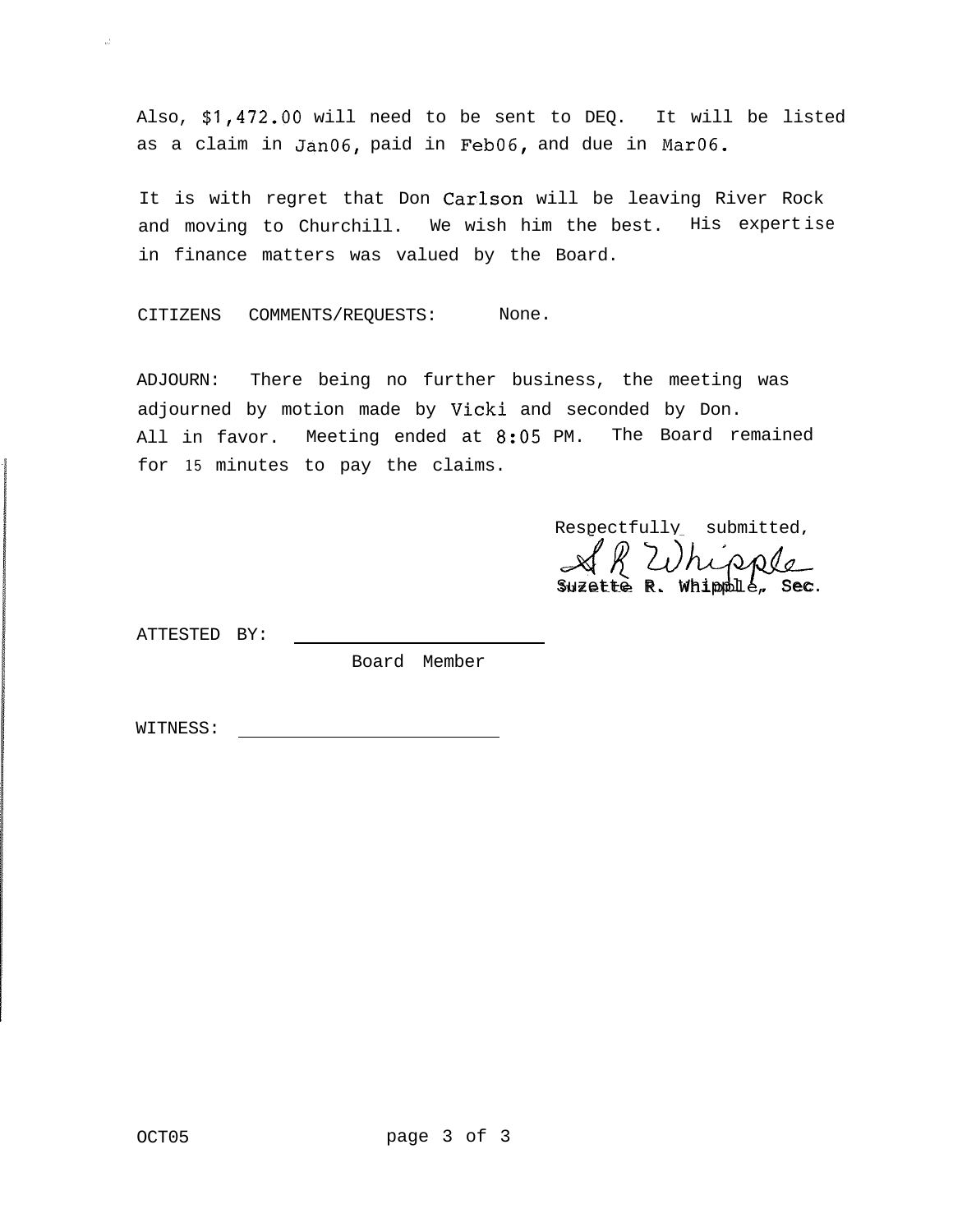Also, \$1,472.00 will need to be sent to DEQ. It will be listed as a claim in JanO6, paid in FebO6, and due in MarO6.

It is with regret that Don Carlson will be leaving River Rock and moving to Churchill. We wish him the best. His expertise in finance matters was valued by the Board.

CITIZENS COMMENTS/REQUESTS: None.

ADJOURN: There being no further business, the meeting was adjourned by motion made by Vicki and seconded by Don. All in favor. Meeting ended at 8:05 PM. The Board remained for **15** minutes to pay the claims.

Respectfully submitted, R Whipple  $Suzette R. Whippll e, Sec.$ 

ATTESTED BY:

,'

Board Member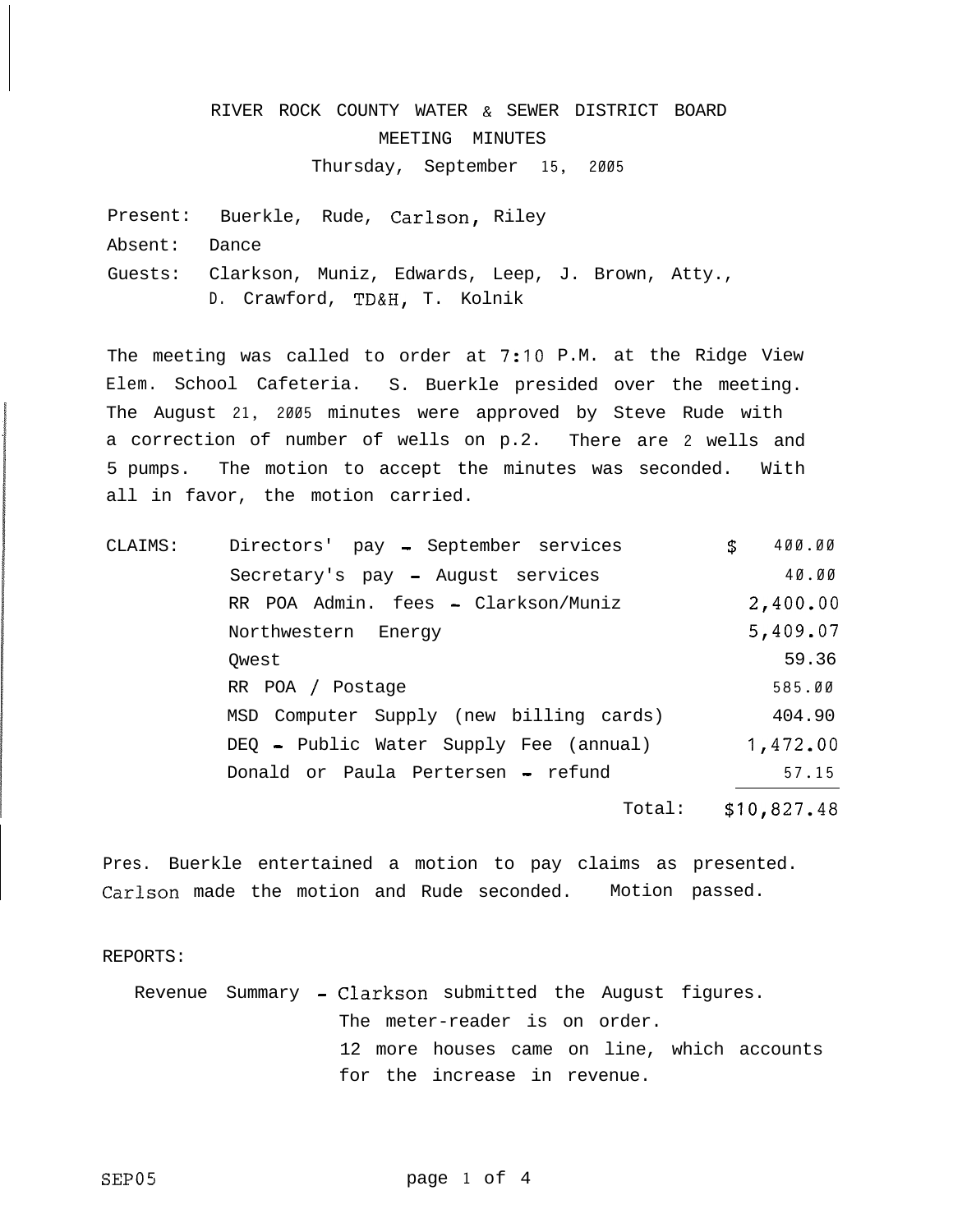# RIVER ROCK COUNTY WATER & SEWER DISTRICT BOARD MEETING MINUTES Thursday, September **15, 2005**

Present: Buerkle, Rude, Carlson, Riley Absent: Dance Guests: Clarkson, Muniz, Edwards, Leep, J. Brown, Atty., D. Crawford, TD&H, T. Kolnik

The meeting was called to order at 7:10 P.M. at the Ridge View Elem. School Cafeteria. S. Buerkle presided over the meeting. The August **21, 2005** minutes were approved by Steve Rude with a correction of number of wells on p.2. There are **2** wells and 5 pumps. The motion to accept the minutes was seconded. With all in favor, the motion carried.

| CLAIMS: | Directors' pay - September services     | \$<br>400.00 |
|---------|-----------------------------------------|--------------|
|         | Secretary's pay - August services       | 40.00        |
|         | RR POA Admin. fees - Clarkson/Muniz     | 2,400.00     |
|         | Northwestern Energy                     | 5,409.07     |
|         | Owest                                   | 59.36        |
|         | RR POA / Postage                        | 585.00       |
|         | MSD Computer Supply (new billing cards) | 404.90       |
|         | DEQ - Public Water Supply Fee (annual)  | 1,472.00     |
|         | Donald or Paula Pertersen - refund      | 57.15        |
|         | Total:                                  | \$10,827.48  |

Pres. Buerkle entertained a motion to pay claims as presented. Carlson made the motion and Rude seconded. Motion passed.

REPORTS:

Revenue Summary - Clarkson submitted the August figures. The meter-reader is on order. 12 more houses came on line, which accounts for the increase in revenue.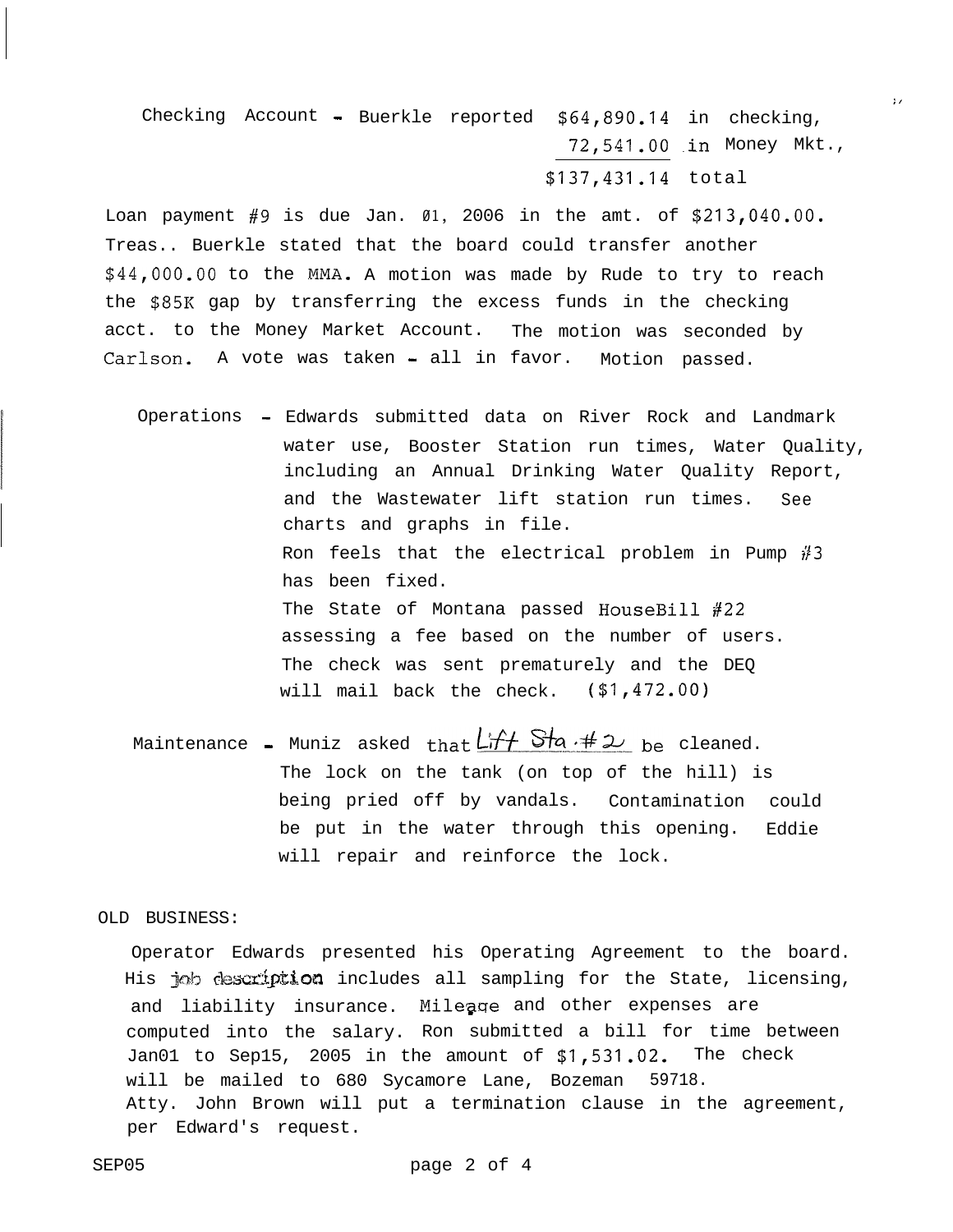Checking Account - Buerkle reported  $$64,890.14$  in checking, **72,541.OO** .in Money Mkt., **\$137,431.14** total

 $\mathbf{r}$ 

Loan payment #9 is due Jan. **01,** 2006 in the amt. of **\$213,040.00.** Treas.. Buerkle stated that the board could transfer another **\$44,000.00** to the MMA. A motion was made by Rude to try to reach the \$85K gap by transferring the excess funds in the checking acct. to the Money Market Account. The motion was seconded by Carlson. A vote was taken - all in favor. Motion passed.

Operations - Edwards submitted data on River Rock and Landmark water use, Booster Station run times, Water Quality, including an Annual Drinking Water Quality Report, and the Wastewater lift station run times. See charts and graphs in file. Ron feels that the electrical problem in Pump  $#3$ has been fixed. The State of Montana passed HouseBill #22 assessing a fee based on the number of users. The check was sent prematurely and the DEQ will mail back the check. (\$1,472.00)

Maintenance - Muniz asked that  $L$   $f + S$   $h + 2$  be cleaned. The lock on the tank (on top of the hill) is being pried off by vandals. Contamination could be put in the water through this opening. Eddie will repair and reinforce the lock.

OLD BUSINESS:

Operator Edwards presented his Operating Agreement to the board. His job description includes all sampling for the State, licensing, and liability insurance. Mileage and other expenses are computed into the salary. Ron submitted a bill for time between Jan01 to Sep15, 2005 in the amount of **\$1,531.02.** The check will be mailed to 680 Sycamore Lane, Bozeman 59718. Atty. John Brown will put a termination clause in the agreement, per Edward's request.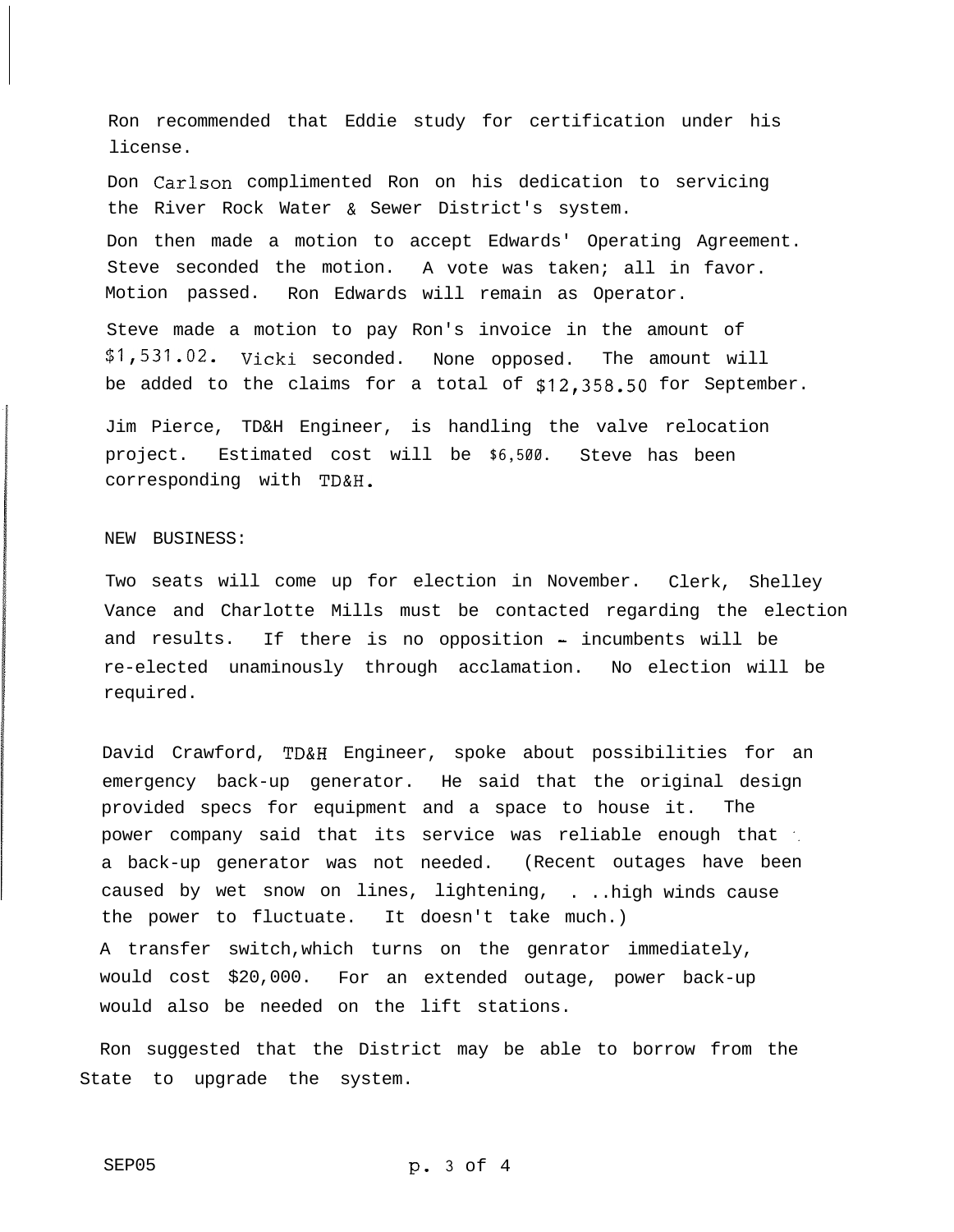Ron recommended that Eddie study for certification under his license.

Don Carlson complimented Ron on his dedication to servicing the River Rock Water & Sewer District's system. Don then made a motion to accept Edwards' Operating Agreement. Steve seconded the motion. A vote was taken; all in favor. Motion passed. Ron Edwards will remain as Operator.

Steve made a motion to pay Ron's invoice in the amount of **\$1,531.02.** Vicki seconded. None opposed. The amount will be added to the claims for a total of **\$12,358.50** for September.

Jim Pierce, TD&H Engineer, is handling the valve relocation project. Estimated cost will be **\$6,500.** Steve has been corresponding with TD&H.

### NEW BUSINESS:

Two seats will come up for election in November. Clerk, Shelley Vance and Charlotte Mills must be contacted regarding the election and results. If there is no opposition - incumbents will be re-elected unaminously through acclamation. No election will be required.

David Crawford, TD&H Engineer, spoke about possibilities for an emergency back-up generator. He said that the original design provided specs for equipment and a space to house it. The power company said that its service was reliable enough that '. a back-up generator was not needed. (Recent outages have been caused by wet snow on lines, lightening, . ..high winds cause the power to fluctuate. It doesn't take much.) A transfer switch,which turns on the genrator immediately, would cost \$20,000. For an extended outage, power back-up would also be needed on the lift stations.

Ron suggested that the District may be able to borrow from the State to upgrade the system.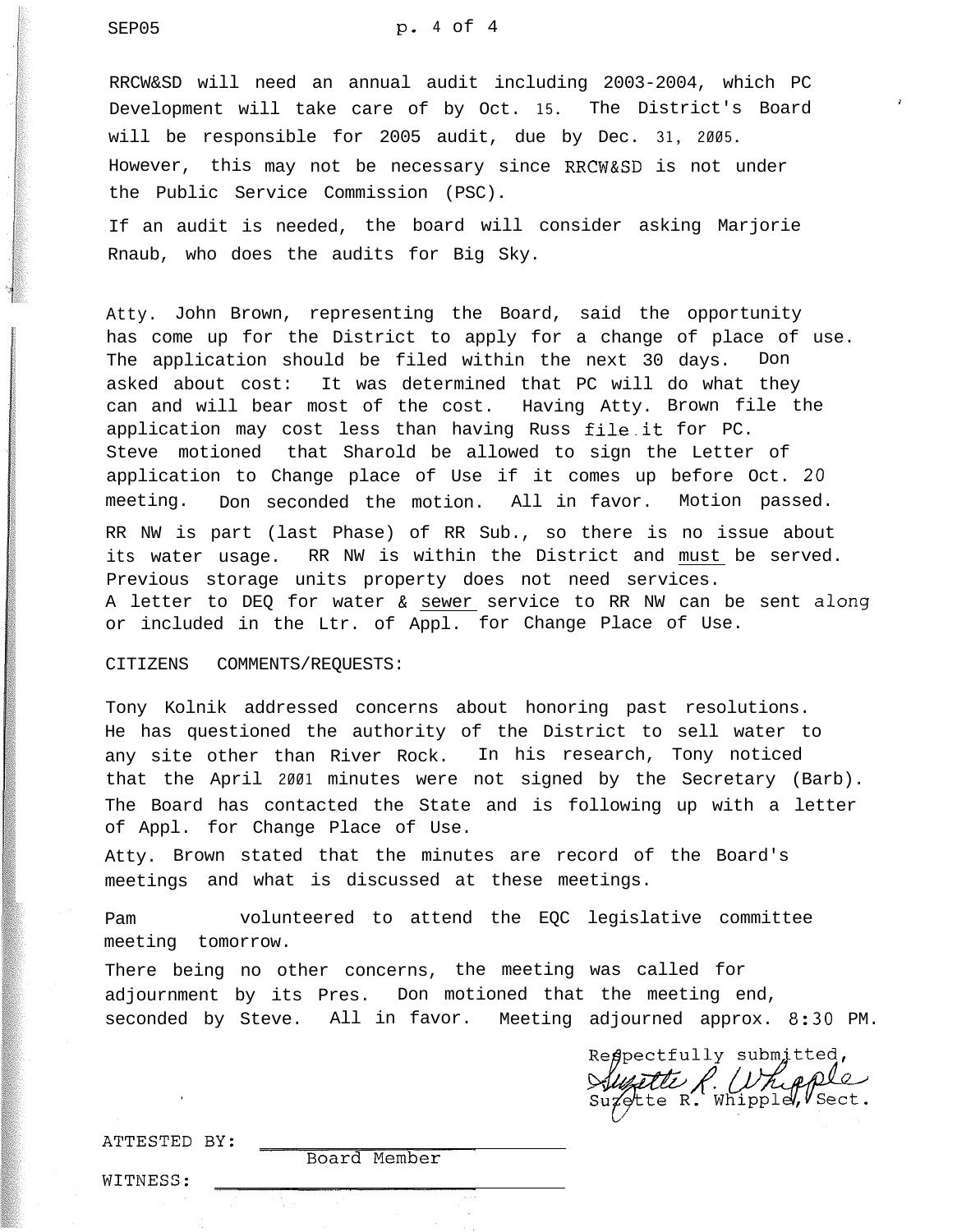SEP05 **P.** 4 of 4

RRCW&SD will need an annual audit including 2003-2004, which PC Development will take care of by Oct. **15.** The District's Board will be responsible for 2005 audit, due by Dec. **31, 2005.** However, this may not be necessary since RRCW&SD is not under the Public Service Commission (PSC).

If an audit is needed, the board will consider asking Marjorie Rnaub, who does the audits for Big Sky.

Atty. John Brown, representing the Board, said the opportunity has come up for the District to apply for a change of place of use. The application should be filed within the next 30 days. Don asked about cost: It was determined that PC will do what they can and will bear most of the cost. Having Atty. Brown file the application may cost less than having Russ file.it for PC. Steve motioned that Sharold be allowed to sign the Letter of application to Change place of Use if it comes up before Oct. 20 meeting. Don seconded the motion. All in favor. Motion passed. RR NW is part (last Phase) of RR Sub., so there is no issue about its water usage. RR NW is within the District and must be served. Previous storage units property does not need services. A letter to DEQ for water & sewer service to RR NW can be sent **along** or included in the Ltr. of Appl. for Change Place of Use.

### CITIZENS COMMENTS/REQUESTS:

Tony Kolnik addressed concerns about honoring past resolutions. He has questioned the authority of the District to sell water to any site other than River Rock. In his research, Tony noticed that the April **2001** minutes were not signed by the Secretary (Barb). The Board has contacted the State and is following up with a letter of Appl. for Change Place of Use.

Atty. Brown stated that the minutes are record of the Board's meetings and what is discussed at these meetings.

Pam volunteered to attend the EQC legislative committee meeting tomorrow.

There being no other concerns, the meeting was called for adjournment by its Pres. Don motioned that the meeting end, seconded by Steve. All in favor. Meeting adjourned approx. 8:30 PM.

Respectfully submitted, *Surette R. (Uhipple)* 

i

ATTESTED BY:

Board Member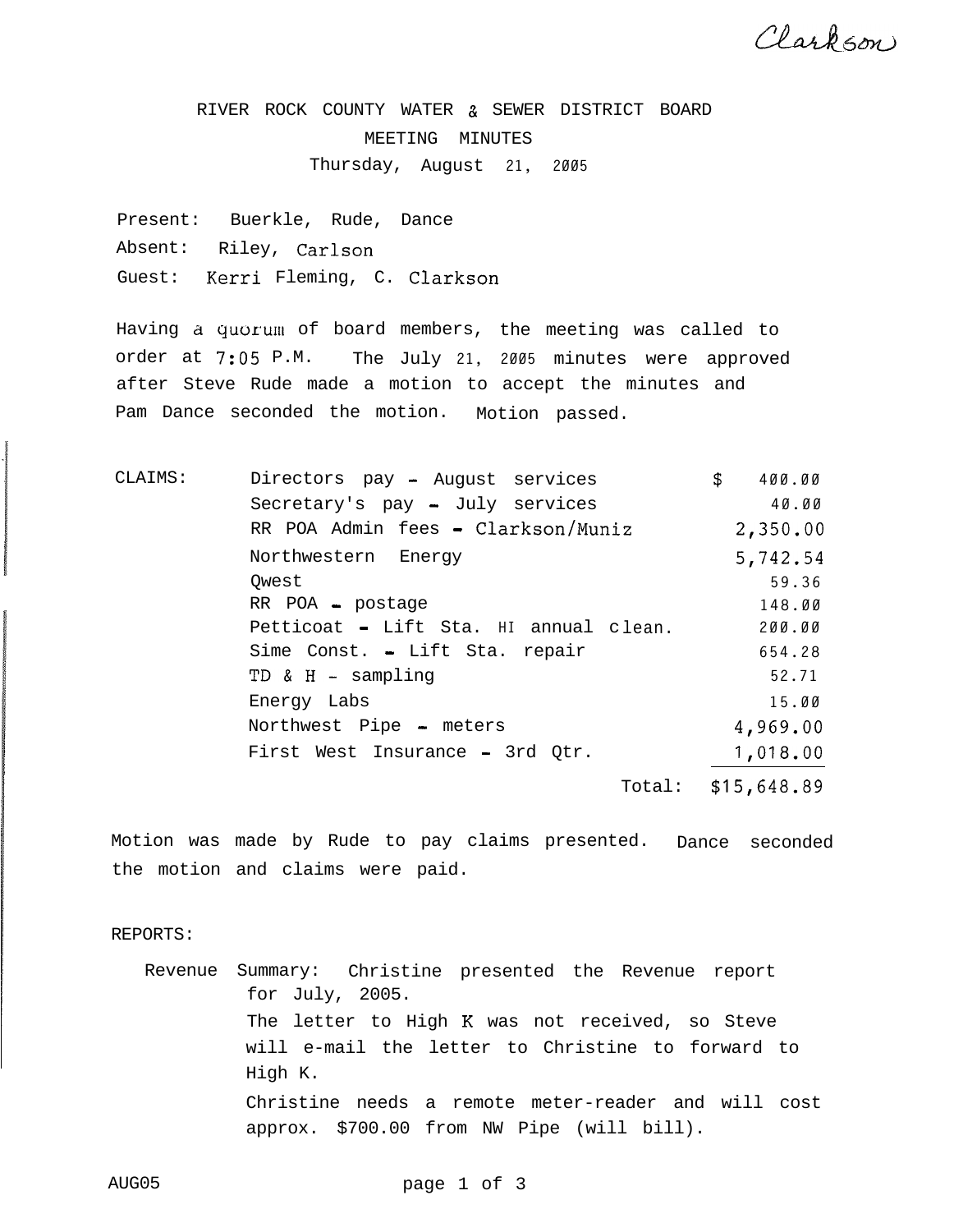Clarkson

RIVER ROCK COUNTY WATER % SEWER DISTRICT BOARD MEETING MINUTES Thursday, August **21, 2005**

Present: Buerkle, Rude, Dance Absent: Riley, Carlson Guest: Kerri Fleming, C. Clarkson

Having a quorum of board members, the meeting was called to order at 7:05 P.M. The July **21, 2005** minutes were approved after Steve Rude made a motion to accept the minutes and Pam Dance seconded the motion. Motion passed.

| CLAIMS: | Directors pay - August services        | S. | 400.00      |
|---------|----------------------------------------|----|-------------|
|         | Secretary's pay - July services        |    | 40.00       |
|         | RR POA Admin fees - Clarkson/Muniz     |    | 2,350.00    |
|         | Northwestern Energy                    |    | 5,742.54    |
|         | Owest                                  |    | 59.36       |
|         | RR POA - postage                       |    | 148.00      |
|         | Petticoat - Lift Sta. HI annual clean. |    | 200.00      |
|         | Sime Const. - Lift Sta. repair         |    | 654.28      |
|         | TD & H - sampling                      |    | 52.71       |
|         | Energy Labs                            |    | 15.00       |
|         | Northwest Pipe - meters                |    | 4,969.00    |
|         | First West Insurance - 3rd Qtr.        |    | 1,018.00    |
|         | Total:                                 |    | \$15,648.89 |

Motion was made by Rude to pay claims presented. Dance seconded the motion and claims were paid.

REPORTS:

Revenue Summary: Christine presented the Revenue report for July, 2005. The letter to High K was not received, so Steve will e-mail the letter to Christine to forward to High K. Christine needs a remote meter-reader and will cost approx. \$700.00 from NW Pipe (will bill).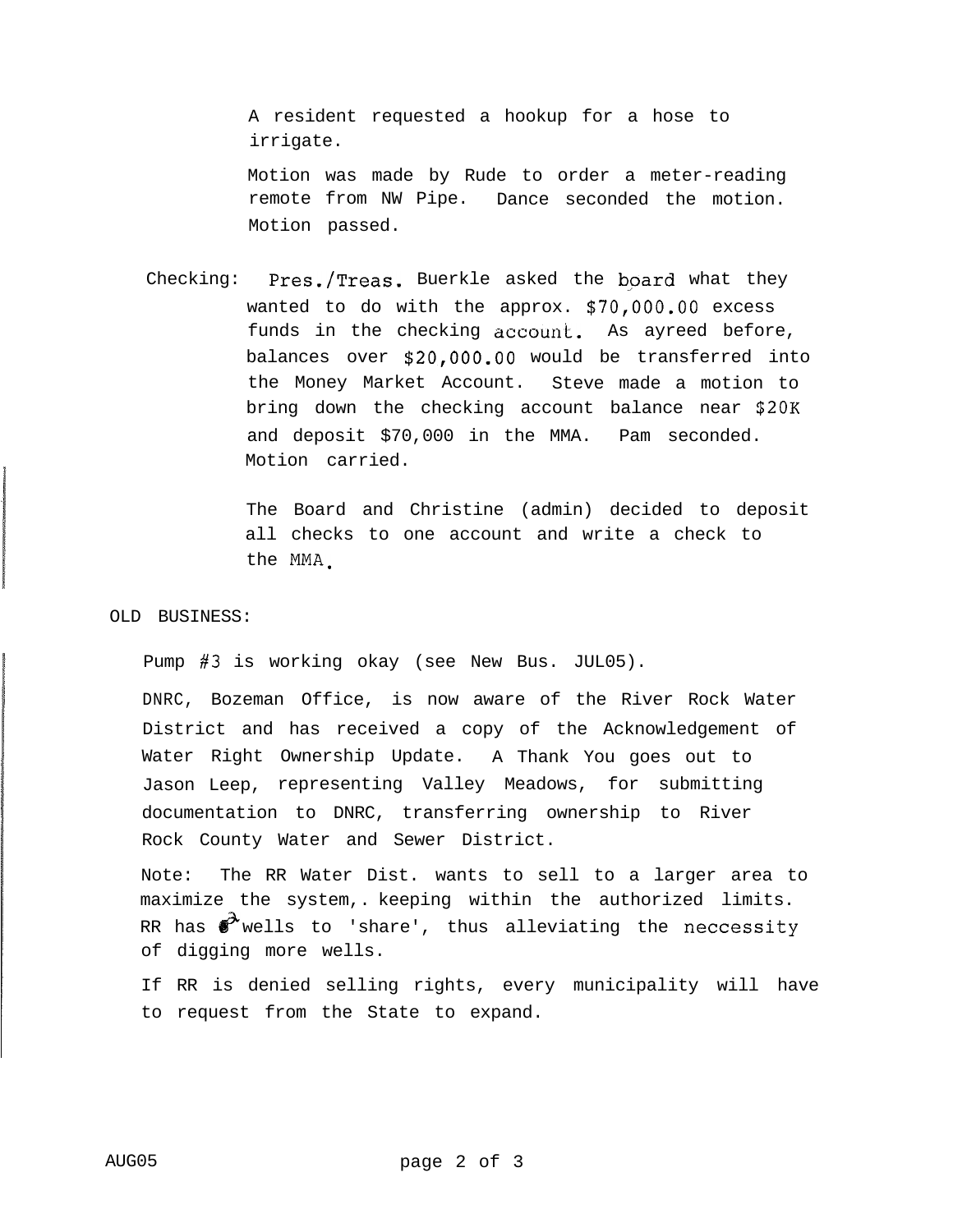A resident requested a hookup for a hose to irrigate.

Motion was made by Rude to order a meter-reading remote from NW Pipe. Dance seconded the motion. Motion passed.

Checking: Pres./Treas. Buerkle asked the board what they wanted to do with the approx. \$70,000.00 excess funds in the checking  $account$ . As ayreed before, balances over \$20,000.00 would be transferred into the Money Market Account. Steve made a motion to bring down the checking account balance near \$20K and deposit \$70,000 in the MMA. Pam seconded. Motion carried.

> The Board and Christine (admin) decided to deposit all checks to one account and write a check to the MMA.

## OLD BUSINESS:

Pump #3 is working okay (see New Bus. JUL05).

DNRC, Bozeman Office, is now aware of the River Rock Water District and has received a copy of the Acknowledgement of Water Right Ownership Update. A Thank You goes out to Jason Leep, representing Valley Meadows, for submitting documentation to DNRC, transferring ownership to River Rock County Water and Sewer District.

Note: The RR Water Dist. wants to sell to a larger area to maximize the system,. keeping within the authorized limits. RR has  $\mathscr{V}$  wells to 'share', thus alleviating the neccessity of digging more wells.

If RR is denied selling rights, every municipality will have to request from the State to expand.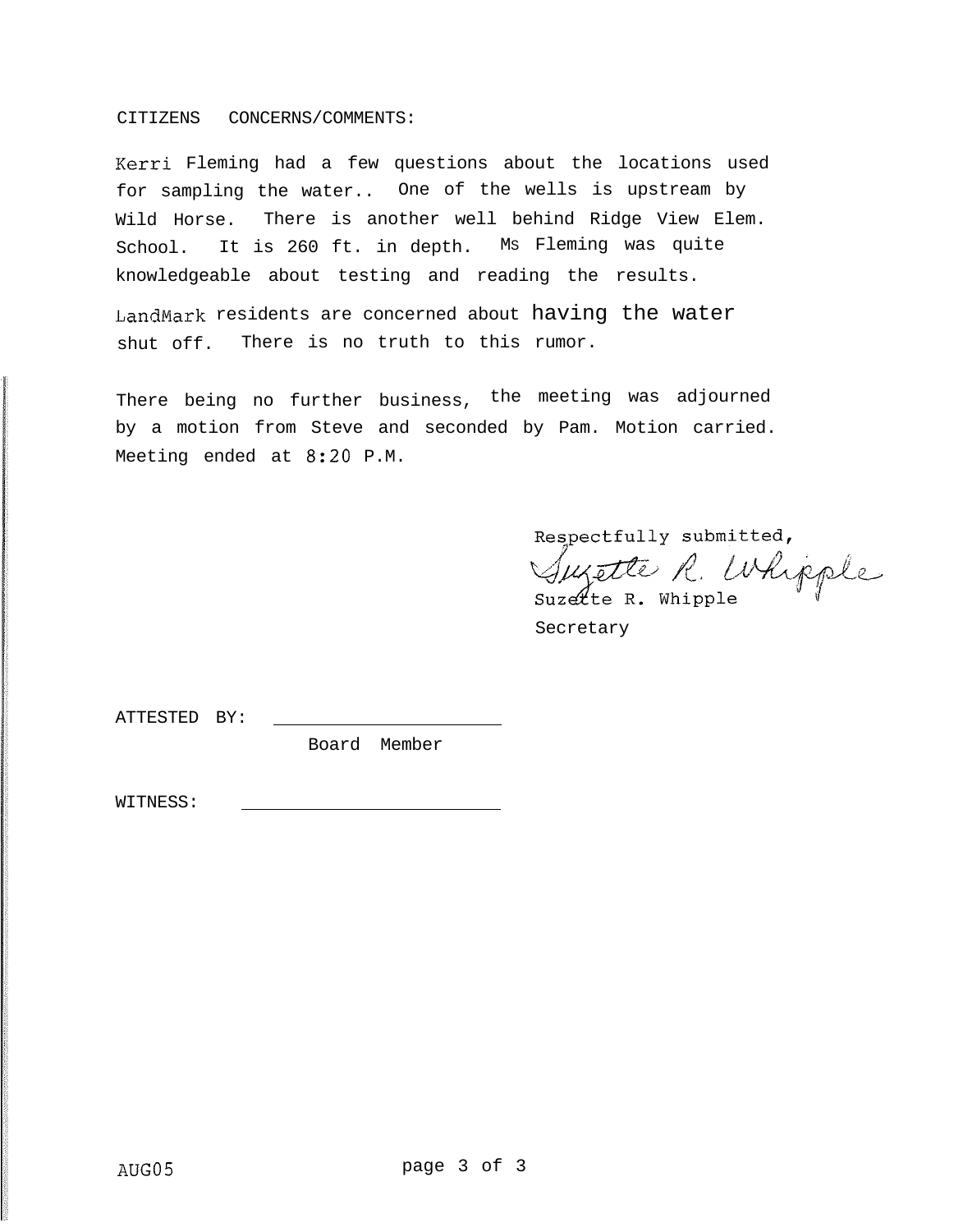### CITIZENS CONCERNS/COMMENTS:

Kerri Fleming had a few questions about the locations used for sampling the water.. One of the wells is upstream by Wild Horse. There is another well behind Ridge View Elem. School. It is 260 ft. in depth. MS Fleming was quite knowledgeable about testing and reading the results.

LandMark residents are concerned about having the water shut off. There is no truth to this rumor.

There being no further business, the meeting was adjourned by a motion from Steve and seconded by Pam. Motion carried. Meeting ended at 8:20 P.M.

Respectfully submitted,

Suzette R. Whipple

Secretary

ATTESTED BY:

Board Member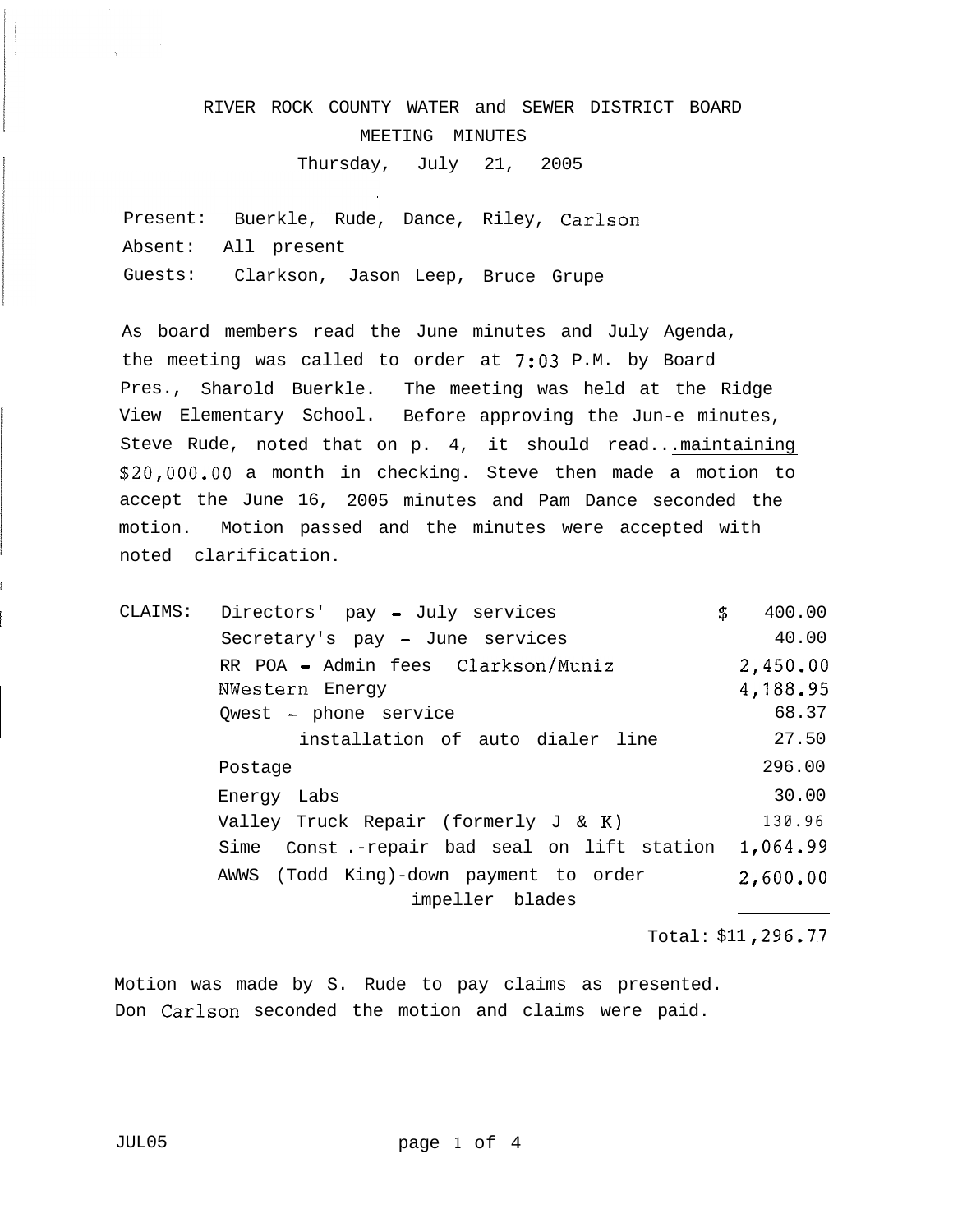# RIVER ROCK COUNTY WATER and SEWER DISTRICT BOARD MEETING MINUTES Thursday, July 21, 2005

Present: Buerkle, Rude, Dance, Riley, Carlson Absent: All present Guests: Clarkson, Jason Leep, Bruce Grupe

As board members read the June minutes and July Agenda, the meeting was called to order at 7:03 P.M. by Board Pres., Sharold Buerkle. The meeting was held at the Ridge View Elementary School. Before approving the Jun-e minutes, Steve Rude, noted that on p. 4, it should read...maintaining \$20,000.00 a month in checking. Steve then made a motion to accept the June 16, 2005 minutes and Pam Dance seconded the motion. Motion passed and the minutes were accepted with noted clarification.

CLAIMS: Directors' pay - July services \$ 400.00 Secretary's pay - June services 40.00 RR POA - Admin fees Clarkson/Muniz 2,450.OO NWestern Energy **1,188.95** Owest - phone service 68.37 installation of auto dialer line 27.50 Postage 296.00 Energy Labs 30.00 Valley Truck Repair (formerly J & K) **130.96** Sime Const.-repair bad seal on lift station 1,064.99 AWWS (Todd King)-down payment to order 2,600.00 impeller blades

Total: \$11 ,296.77

Motion was made by S. Rude to pay claims as presented. Don Carlson seconded the motion and claims were paid.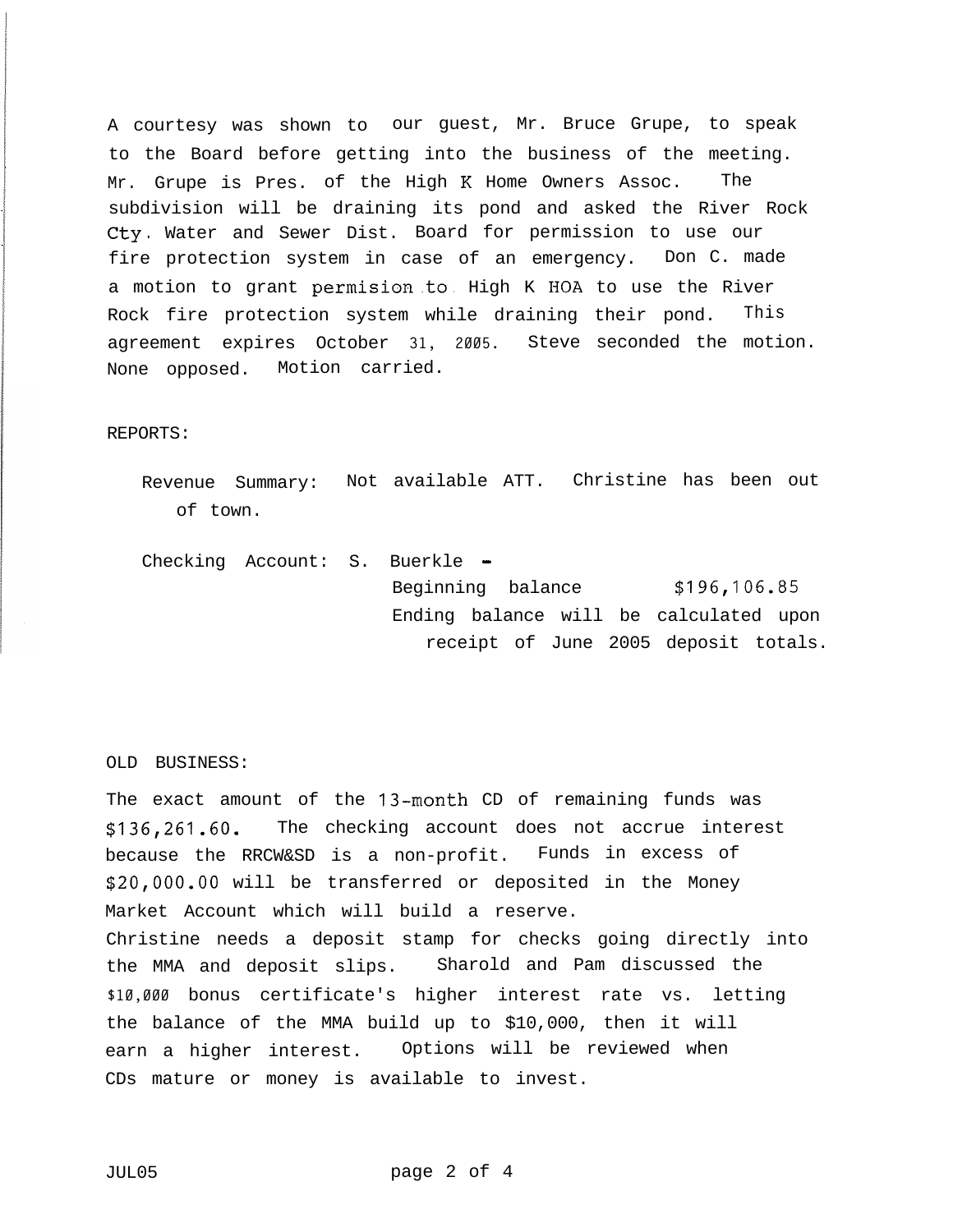A courtesy was shown to our guest, Mr. Bruce Grupe, to speak to the Board before getting into the business of the meeting. Mr. Grupe is Pres. of the High K Home Owners Assoc. The subdivision will be draining its pond and asked the River Rock cty . Water and Sewer Dist. Board for permission to use our fire protection system in case of an emergency. Don C. made a motion to grant permision to High K HOA to use the River Rock fire protection system while draining their pond. This agreement expires October **31, 2005.** Steve seconded the motion. None opposed. Motion carried.

### REPORTS:

Revenue Summary: Not available ATT. Christine has been out of town.

Checking Account: S. Buerkle -Beginning balance **\$196,106.85** Ending balance will be calculated upon receipt of June 2005 deposit totals.

OLD BUSINESS:

The exact amount of the 13-month CD of remaining funds was **\$136,261.60.** The checking account does not accrue interest because the RRCW&SD is a non-profit. Funds in excess of \$20,000.00 will be transferred or deposited in the Money Market Account which will build a reserve. Christine needs a deposit stamp for checks going directly into the MMA and deposit slips. Sharold and Pam discussed the **\$10,000** bonus certificate's higher interest rate vs. letting the balance of the MMA build up to \$10,000, then it will earn a higher interest. Options will be reviewed when CDs mature or money is available to invest.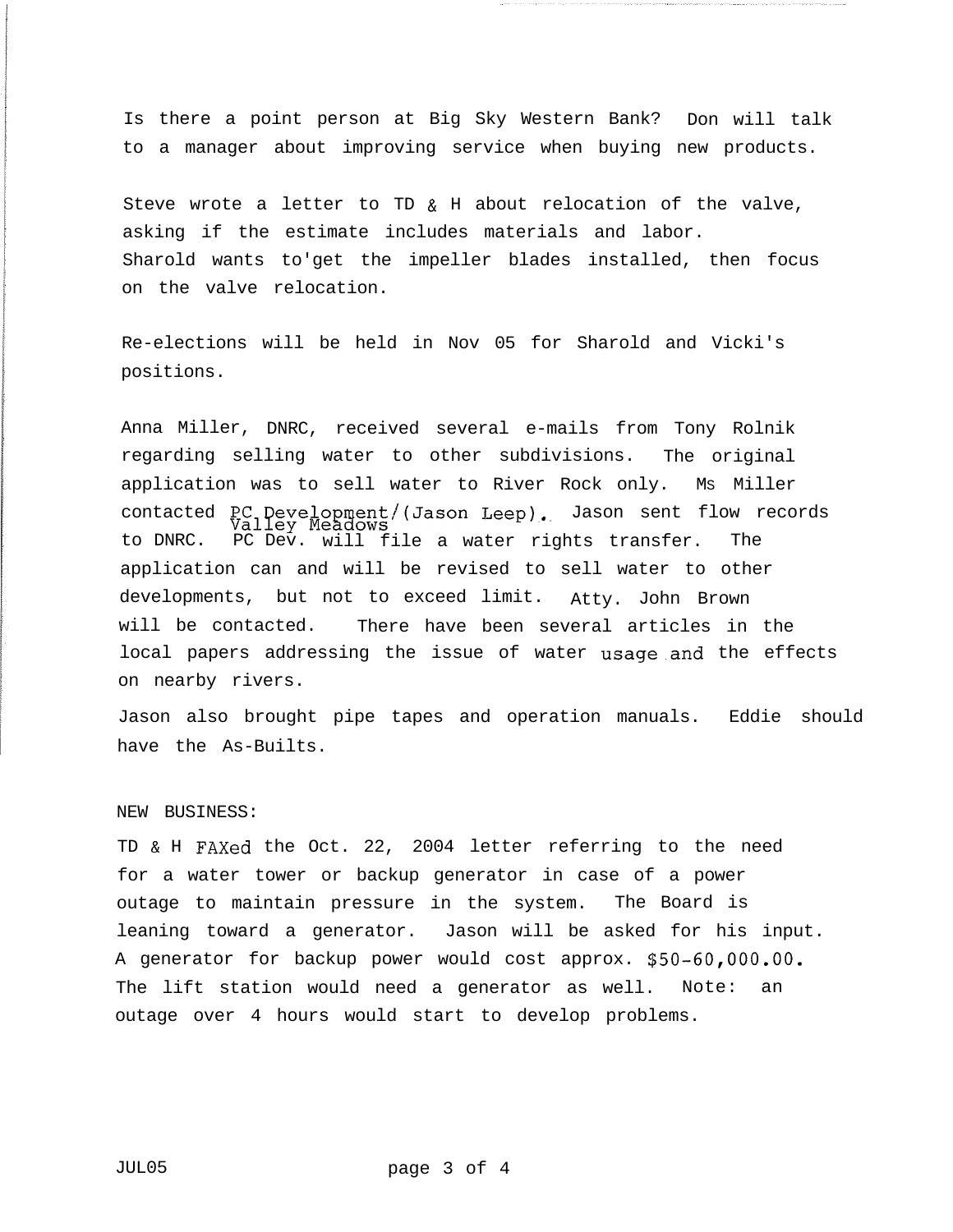Is there a point person at Big Sky Western Bank? Don will talk to a manager about improving service when buying new products.

Steve wrote a letter to TD & H about relocation of the valve, asking if the estimate includes materials and labor. Sharold wants to'get the impeller blades installed, then focus on the valve relocation.

Re-elections will be held in Nov 05 for Sharold and Vicki's positions.

Anna Miller, DNRC, received several e-mails from Tony Rolnik regarding selling water to other subdivisions. The original application was to sell water to River Rock only. MS Miller contacted  $PC_1$   $P_{ex}$  evelopment/(Jason Leep). Jason sent flow records to DNRC. PC Dev. will file a water rights transfer. The application can and will be revised to sell water to other developments, but not to exceed limit. Atty. John Brown will be contacted. There have been several articles in the local papers addressing the issue of water usage.and the effects on nearby rivers.

Jason also brought pipe tapes and operation manuals. Eddie should have the As-Builts.

### NEW BUSINESS:

TD & H FAXed the Oct. 22, 2004 letter referring to the need for a water tower or backup generator in case of a power outage to maintain pressure in the system. The Board is leaning toward a generator. Jason will be asked for his input. A generator for backup power would cost approx. \$50-60,OOO.OO. The lift station would need a generator as well. Note: an outage over 4 hours would start to develop problems.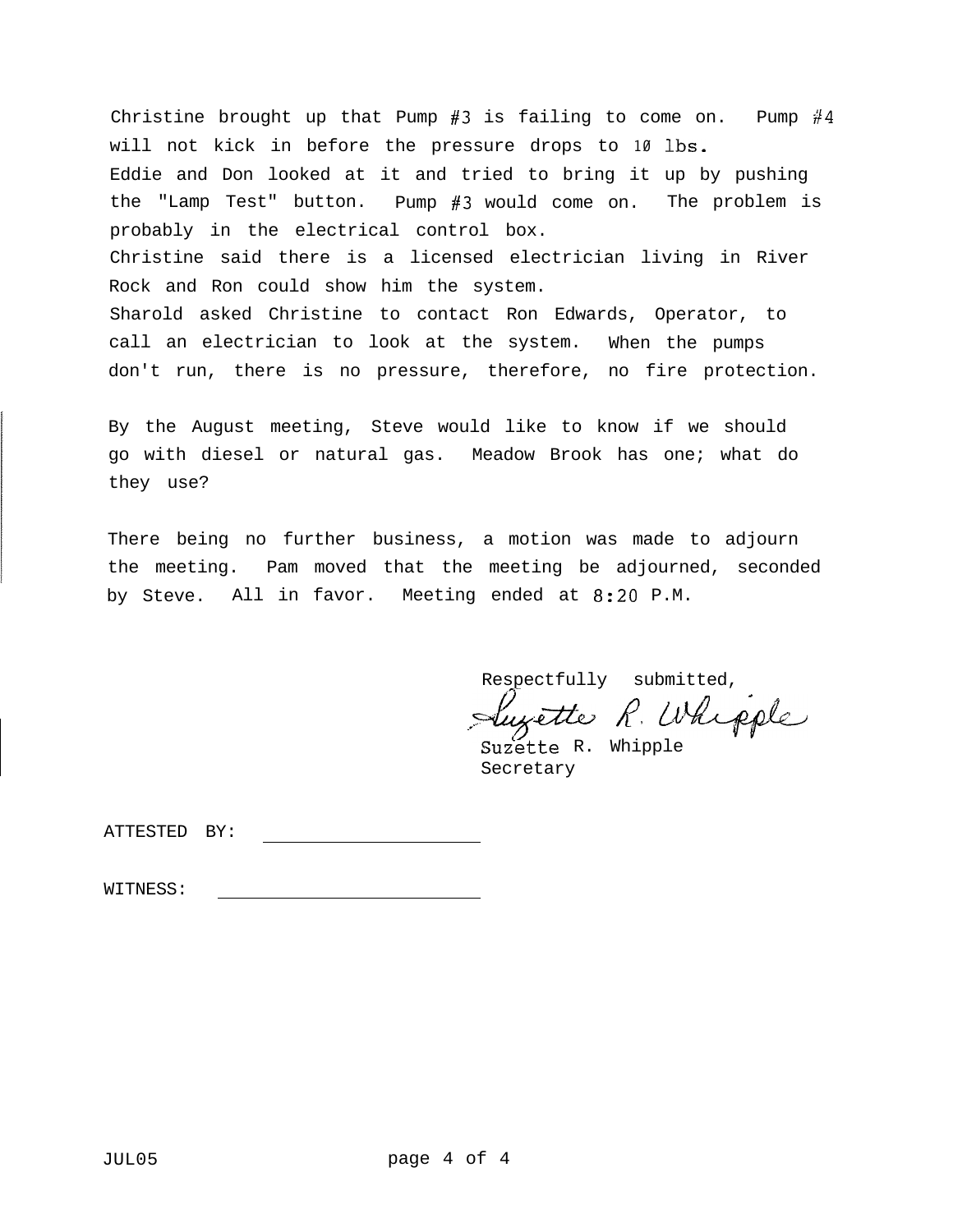Christine brought up that Pump #3 is failing to come on. Pump #4 will not kick in before the pressure drops to **10** lbs. Eddie and Don looked at it and tried to bring it up by pushing the "Lamp Test" button. Pump #3 would come on. The problem is probably in the electrical control box. Christine said there is a licensed electrician living in River Rock and Ron could show him the system. Sharold asked Christine to contact Ron Edwards, Operator, to call an electrician to look at the system. When the pumps don't run, there is no pressure, therefore, no fire protection.

By the August meeting, Steve would like to know if we should go with diesel or natural gas. Meadow Brook has one; what do they use?

There being no further business, a motion was made to adjourn the meeting. Pam moved that the meeting be adjourned, seconded by Steve. All in favor. Meeting ended at 8:20 P.M.

Respectfully submitted,

\_/ Respectfully submitted,<br>Suzette R. Whipple Suzette R. Whipple

Secretary

ATTESTED BY: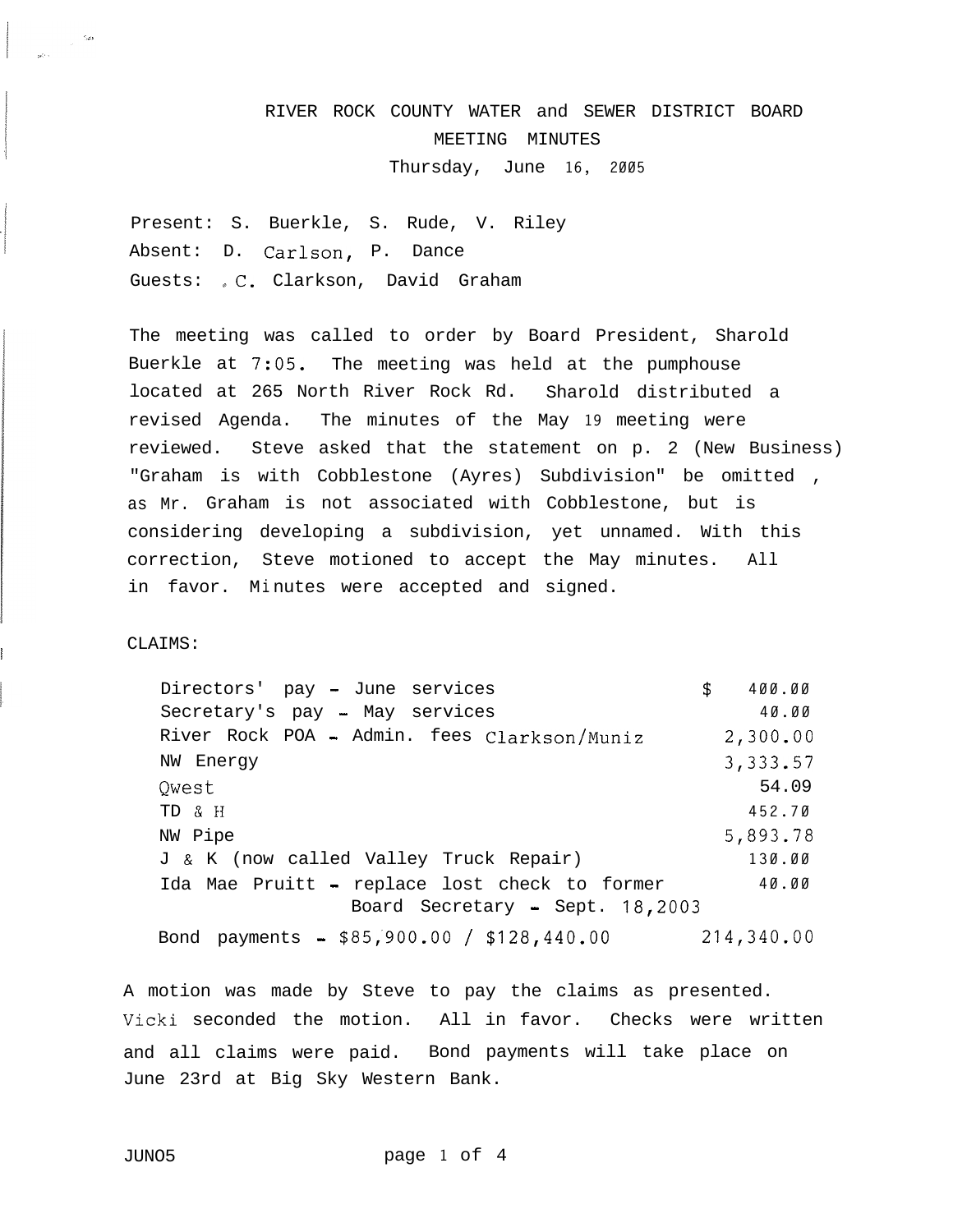# RIVER ROCK COUNTY WATER and SEWER DISTRICT BOARD MEETING MINUTES Thursday, June **16, 2005**

Present: S. Buerkle, S. Rude, V. Riley Absent: D. Carlson, P. Dance Guests: C. Clarkson, David Graham

The meeting was called to order by Board President, Sharold Buerkle at 7:05. The meeting was held at the pumphouse located at 265 North River Rock Rd. Sharold distributed a revised Agenda. The minutes of the May **19** meeting were reviewed. Steve asked that the statement on p. 2 (New Business) "Graham is with Cobblestone (Ayres) Subdivision" be omitted , as Mr. Graham is not associated with Cobblestone, but is considering developing a subdivision, yet unnamed. With this correction, Steve motioned to accept the May minutes. All in favor. Mi nutes were accepted and signed.

CLAIMS:

!

Directors' pay - June services **\$ 400.00** Secretary's pay - May services **40.00** River Rock POA - Admin. fees Clarkson/Muniz **2,300.OO** NW Energy **3,333.57**  $Q$ west  $54.09$ TD & H 452.70 NW Pipe 5,893.78 J & K (now called Valley Truck Repair) **130.00** Ida Mae Pruitt - replace lost check to former **40.00** Board Secretary - Sept. **18,2003** Bond payments - \$85;900.00 / **\$128,440.00 214,340.OO**

A motion was made by Steve to pay the claims as presented. Vicki seconded the motion. All in favor. Checks were written and all claims were paid. Bond payments will take place on June 23rd at Big Sky Western Bank.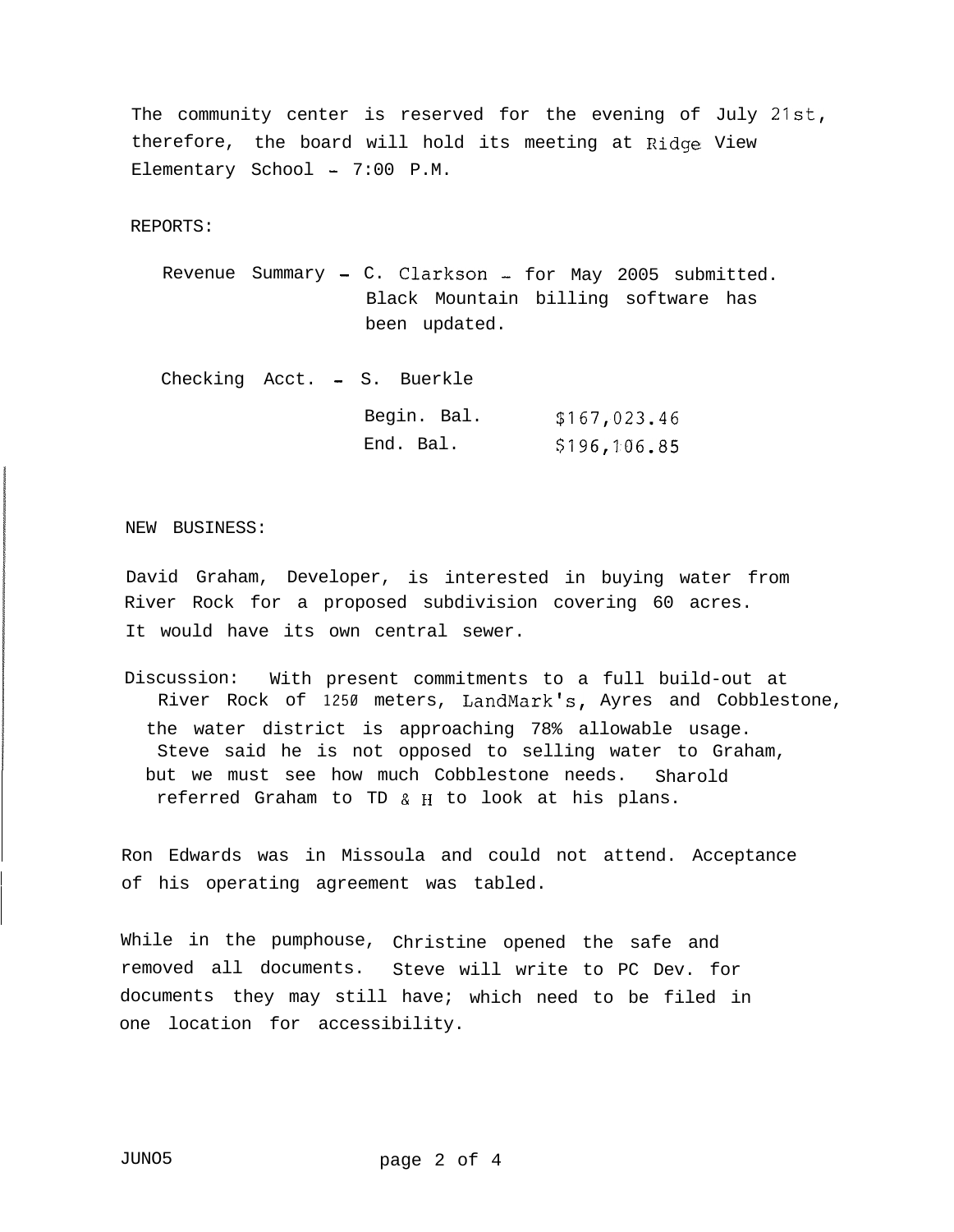The community center is reserved for the evening of July **21st,** therefore, the board will hold its meeting at Ridge View Elementary School  $- 7:00$  P.M.

REPORTS:

Revenue Summary - C. Clarkson - for May 2005 submitted. Black Mountain billing software has been updated.

Checking Acct. - S. Buerkle Begin. Bal. **\$167,023.46** End. Bal. \$196,106.85

NEW BUSINESS:

David Graham, Developer, is interested in buying water from River Rock for a proposed subdivision covering 60 acres. It would have its own central sewer.

Discussion: With present commitments to a full build-out at River Rock of **1250** meters, LandMark's, Ayres and Cobblestone, the water district is approaching 78% allowable usage. Steve said he is not opposed to selling water to Graham, but we must see how much Cobblestone needs. Sharold referred Graham to TD & FI to look at his plans.

Ron Edwards was in Missoula and could not attend. Acceptance of his operating agreement was tabled.

While in the pumphouse, Christine opened the safe and removed all documents. Steve will write to PC Dev. for documents they may still have; which need to be filed in one location for accessibility.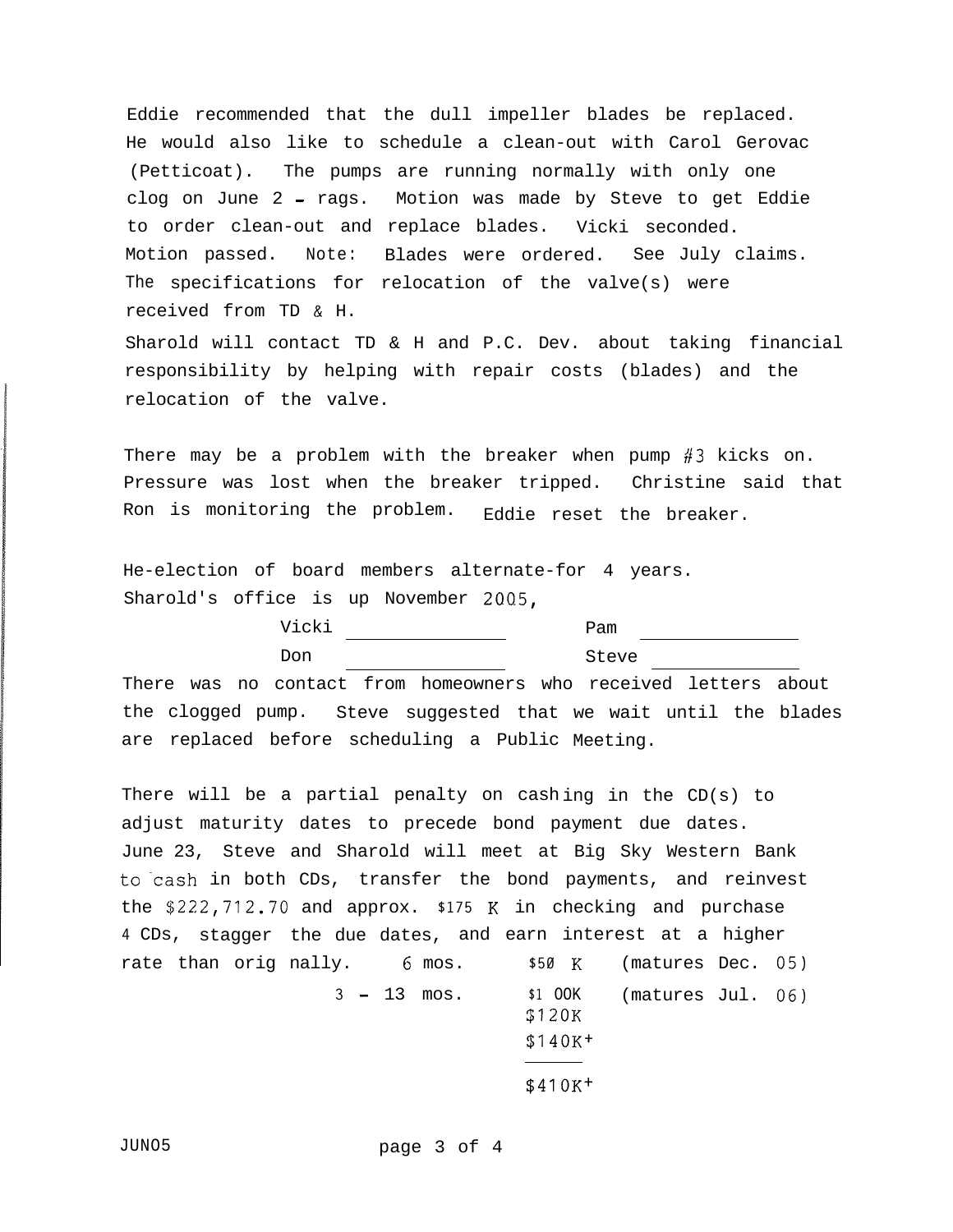Eddie recommended that the dull impeller blades be replaced. He would also like to schedule a clean-out with Carol Gerovac (Petticoat). The pumps are running normally with only one clog on June 2 - rags. Motion was made by Steve to get Eddie to order clean-out and replace blades. Vicki seconded. Motion passed. Note: Blades were ordered. See July claims. The specifications for relocation of the valve(s) were received from TD & H.

Sharold will contact TD & H and P.C. Dev. about taking financial responsibility by helping with repair costs (blades) and the relocation of the valve.

There may be a problem with the breaker when pump  $#3$  kicks on. Pressure was lost when the breaker tripped. Christine said that Ron is monitoring the problem. Eddie reset the breaker.

He-election of board members alternate-for 4 years. Sharold's office is up November 2005,

| <b>Wicki</b> | Pam   |
|--------------|-------|
| Don          | Steve |

There was no contact from homeowners who received letters about the clogged pump. Steve suggested that we wait until the blades are replaced before scheduling a Public Meeting.

There will be a partial penalty on cashing in the  $CD(s)$  to adjust maturity dates to precede bond payment due dates. June 23, Steve and Sharold will meet at Big Sky Western Bank to cash in both CDs, transfer the bond payments, and reinvest the \$222,712.70 and approx. **\$175** K in checking and purchase **4** CDs, stagger the due dates, and earn interest at a higher rate than orig nally. 6 mos. nally. G mos. **\$50** K (matures Dec. **05) 3 -** 13 mos. **\$1** OOK (matures Jul. 06) \$120K

|  | $$140K+$ |
|--|----------|
|--|----------|

\$41OK+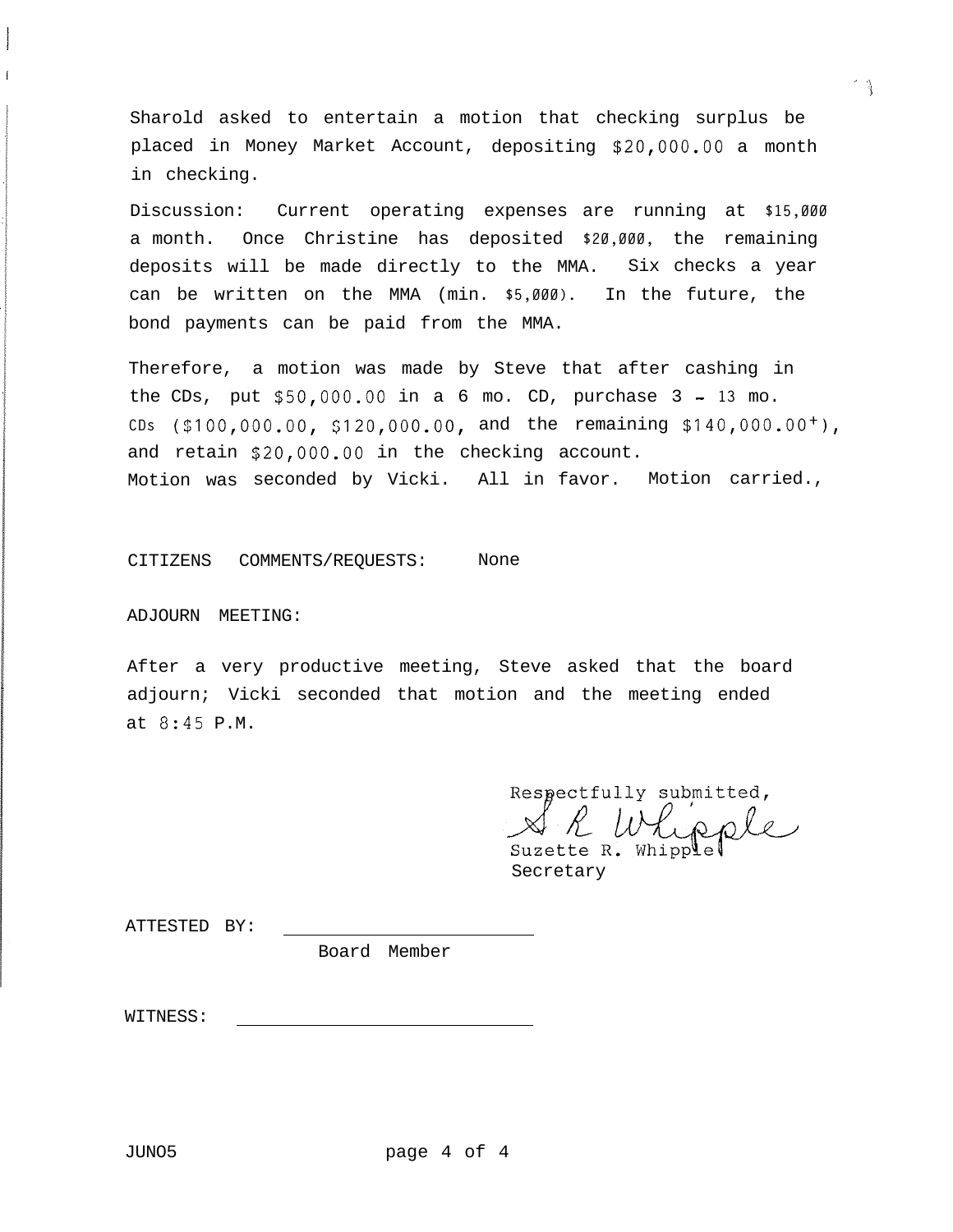Sharold asked to entertain a motion that checking surplus be placed in Money Market Account, depositing **\$20,000.00** a month in checking.

Discussion: Current operating expenses are running at **\$15,000** a month. Once Christine has deposited **\$20,000,** the remaining deposits will be made directly to the MMA. Six checks a year can be written on the MMA (min. **\$5,000).** In the future, the bond payments can be paid from the MMA.

Therefore, a motion was made by Steve that after cashing in the CDs, put \$50,000.00 in a 6 mo. CD, purchase 3 - **13** mo. **CDs (\$lOO,OOO.OO, \$120,000.00,** and the remaining **\$140,000.00+),** and retain \$20,000.00 in the checking account. Motion was seconded by Vicki. All in favor. Motion carried.,

CITIZENS COMMENTS/REQUESTS: None

ADJOURN MEETING:

After a very productive meeting, Steve asked that the board adjourn; Vicki seconded that motion and the meeting ended at 8:45 P.M.

Respectfully submitted,

 $\sim$   $\sim$   $\sim$   $\sim$   $\sim$   $\sim$ 

Secretary

ATTESTED BY:

Board Member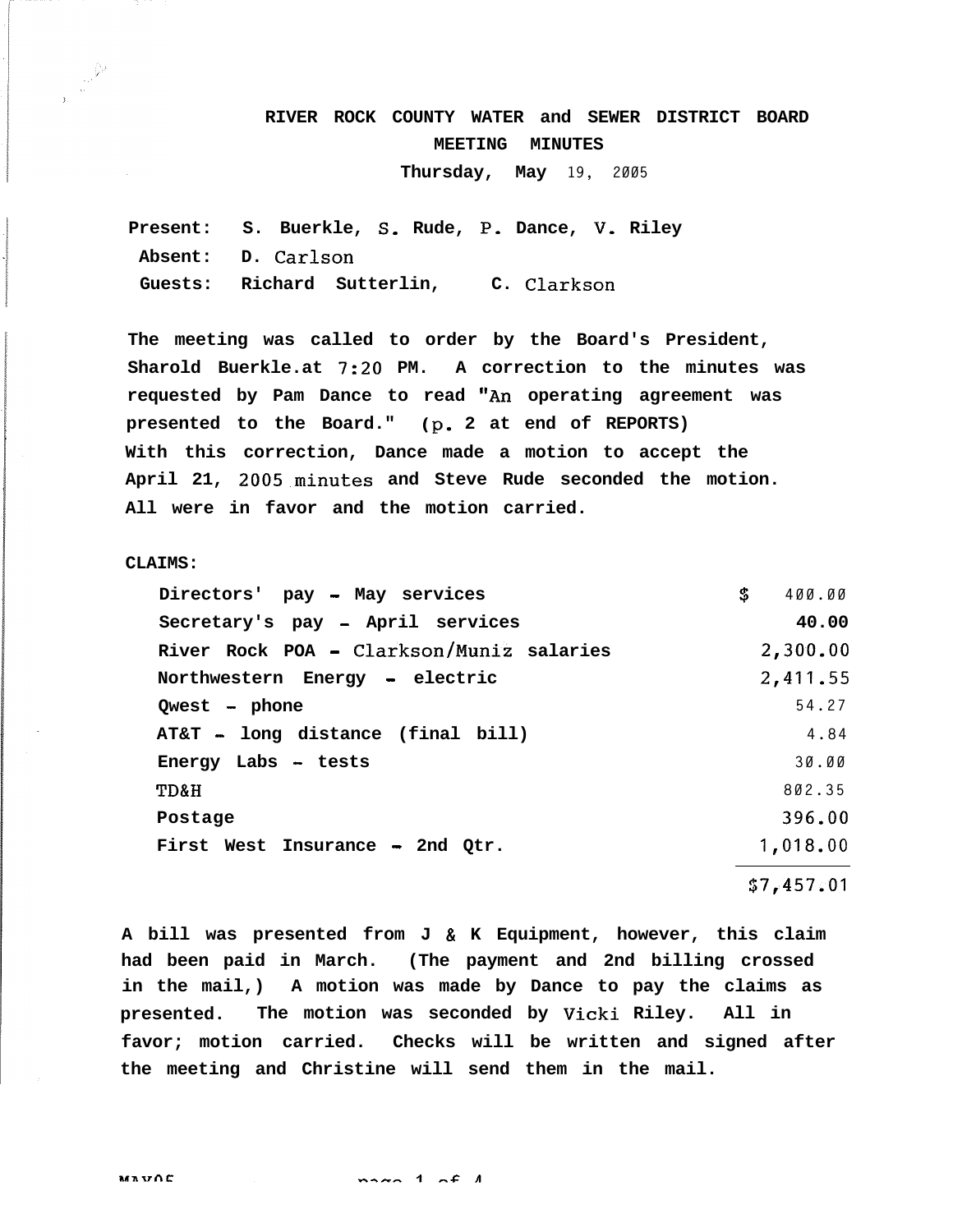# **RIVER ROCK COUNTY WATER and SEWER DISTRICT BOARD MEETING MINUTES**

**Thursday, May 19, 2005**

**Present: S. Buerkle, S, Rude, P, Dance, V, Riley Absent: D. Carlson Guests: Richard Sutterlin, C. Clarkson**

**The meeting was called to order by the Board's President, Sharold Buerkle.at 7:20 PM. A correction to the minutes was** requested by Pam Dance to read "An operating agreement was **presented to the Board." (p. 2 at end of REPORTS) With this correction, Dance made a motion to accept the April 21, 2005.minutes and Steve Rude seconded the motion. All were in favor and the motion carried.**

**CLAIMS:**

| Directors' pay - May services            | S | 400.00     |
|------------------------------------------|---|------------|
| Secretary's pay - April services         |   | 40.00      |
| River Rock POA - Clarkson/Muniz salaries |   | 2,300.00   |
| Northwestern Energy - electric           |   | 2,411.55   |
| $Qwest$ - phone                          |   | 54.27      |
| AT&T - long distance (final bill)        |   | 4.84       |
| Energy Labs - tests                      |   | 30.00      |
| TD&H                                     |   | 802.35     |
| Postage                                  |   | 396.00     |
| First West Insurance - 2nd Qtr.          |   | 1,018.00   |
|                                          |   | \$7,457.01 |

**A bill was presented from J & K Equipment, however, this claim had been paid in March. (The payment and 2nd billing crossed in the mail,) A motion was made by Dance to pay the claims as presented. The motion was seconded by Vicki Riley. All in favor; motion carried. Checks will be written and signed after the meeting and Christine will send them in the mail.**

 $max_{n=1}$   $f_{n}$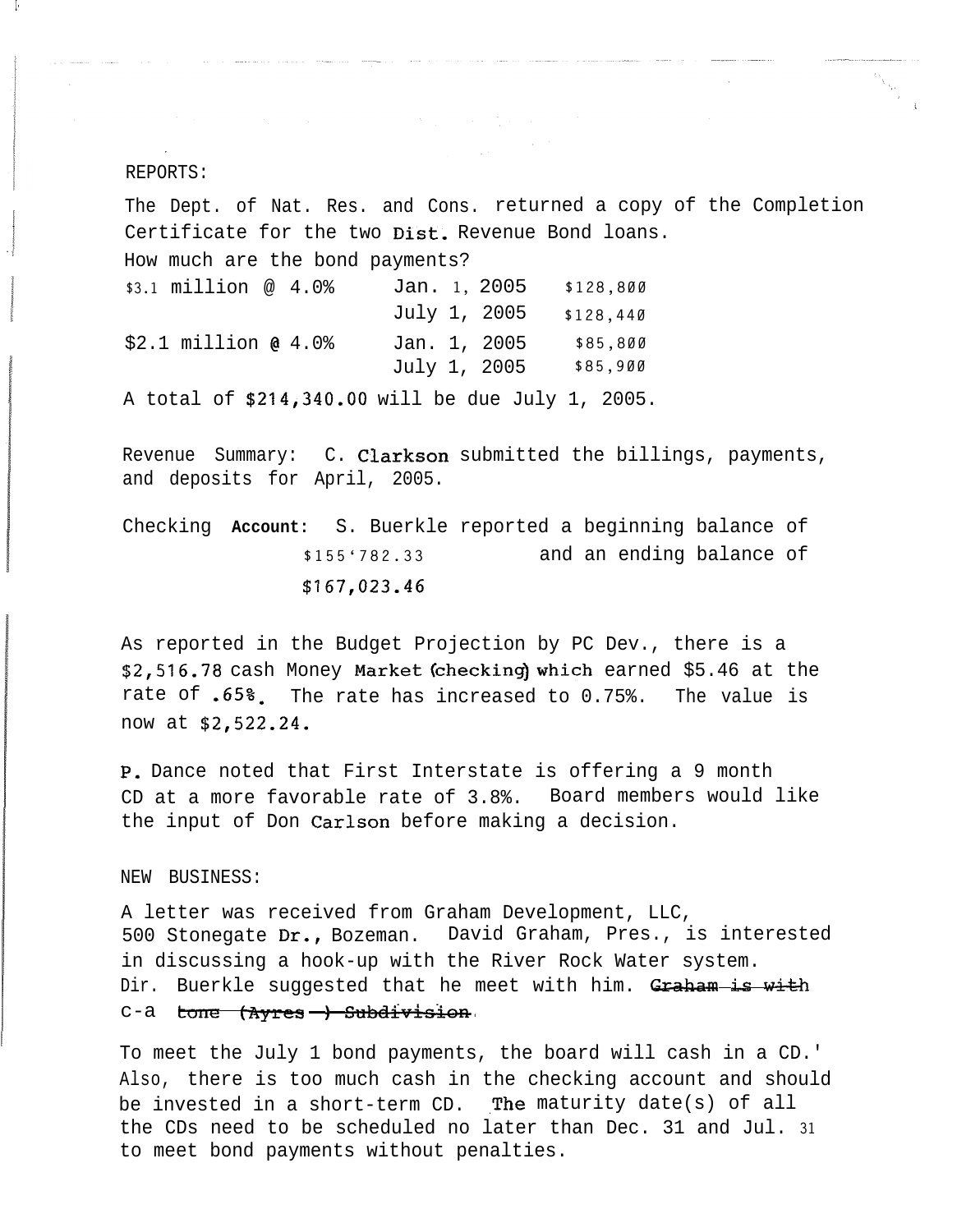### REPORTS:

**I -**

1 и.

The Dept. of Nat. Res. and Cons. returned a copy of the Completion Certificate for the two Dist. Revenue Bond loans. How much are the bond payments? **\$3.1** million @ 4.0% Jan. **1,** 2005 **\$128,800** July 1, 2005 **\$128,440** \$2.1 million @ 4.0% Jan. 1, 2005 **\$85,800** July 1, 2005 **\$85,900** A total of \$214,340.00 will be due July 1, 2005.

Revenue Summary: C. Clarkson submitted the billings, payments, and deposits for April, 2005.

Checking **Account:** S. Buerkle reported a beginning balance of **\$155'782.33** and an ending balance of **\$167,023.46**

As reported in the Budget Projection by PC Dev., there is a **\$2,516.78** cash Money Market(checking)which earned \$5.46 at the rate of -65%. The rate has increased to 0.75%. The value is now at \$2,522.24.

P, Dance noted that First Interstate is offering a 9 month CD at a more favorable rate of 3.8%. Board members would like the input of Don Carlson before making a decision.

# NEW BUSINESS:

A letter was received from Graham Development, LLC, 500 Stonegate Dr., Bozeman. David Graham, Pres., is interested in discussing a hook-up with the River Rock Water system. Dir. Buerkle suggested that he meet with him. Graham is with NEW BUSINESS:<br>A letter was received from Grah:<br>500 Stonegate **Dr.,** Bozeman. Da<br>in discussing a hook-up with the<br>Dir. Buerkle suggested that he<br>c-a tone (Ayres -) Subdivision<br>To meet the July 1 bond payments .<br><del>.vision</del>

To meet the July 1 bond payments, the board will cash in a CD.' Also, there is too much cash in the checking account and should be invested in a short-term  $CD$ . The maturity date(s) of all the CDs need to be scheduled no later than Dec. 31 and Jul. **31** to meet bond payments without penalties.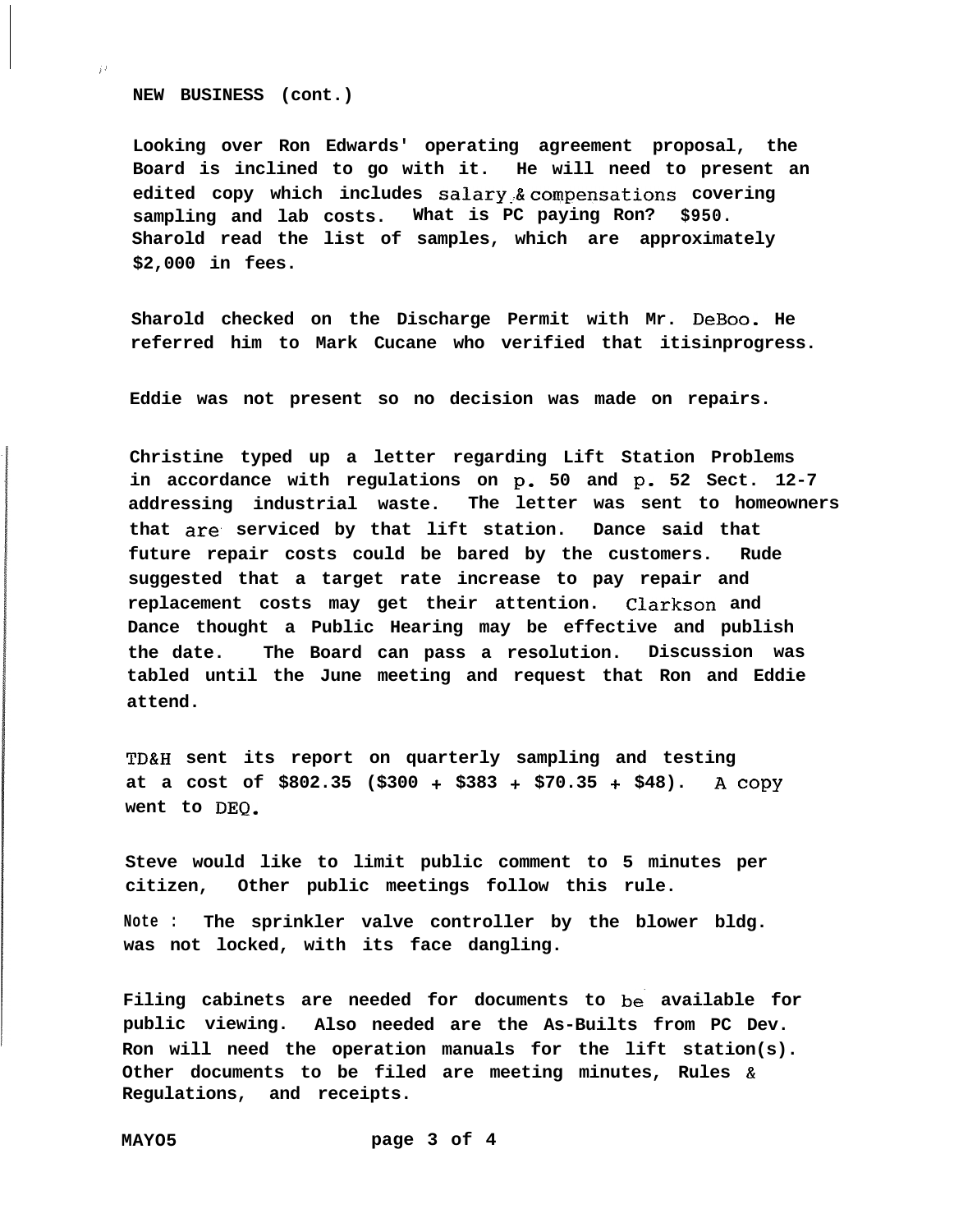**NEW BUSINESS (cont.)**

i'

**Looking over Ron Edwards' operating agreement proposal, the Board is inclined to go with it. He will need to present an edited copy which includes salary:&compensations covering sampling and lab costs. What is PC paying Ron? \$950. Sharold read the list of samples, which are approximately \$2,000 in fees.**

**Sharold checked on the Discharge Permit with Mr. DeBoo. He referred him to Mark Cucane who verified that itisinprogress.**

**Eddie was not present so no decision was made on repairs.**

**Christine typed up a letter regarding Lift Station Problems in accordance with regulations on p- 50 and p. 52 Sect. 12-7 addressing industrial waste. The letter was sent to homeowners that are. serviced by that lift station. Dance said that future repair costs could be bared by the customers. Rude suggested that a target rate increase to pay repair and replacement costs may get their attention. Clarkson and Dance thought a Public Hearing may be effective and publish the date. The Board can pass a resolution. Discussion was tabled until the June meeting and request that Ron and Eddie attend.**

**TD&H sent its report on quarterly sampling and testing at a cost of \$802.35 (\$300 + \$383 + \$70.35 + \$48). A COPY** went to DEQ.

**Steve would like to limit public comment to 5 minutes per citizen, Other public meetings follow this rule.**

**Note : The sprinkler valve controller by the blower bldg. was not locked, with its face dangling.**

**Filing cabinets are needed for documents to be. available for public viewing. Also needed are the As-Builts from PC Dev. Ron will need the operation manuals for the lift station(s). Other documents to be filed are meeting minutes, Rules & Regulations, and receipts.**

**MAYO5 page 3 of 4**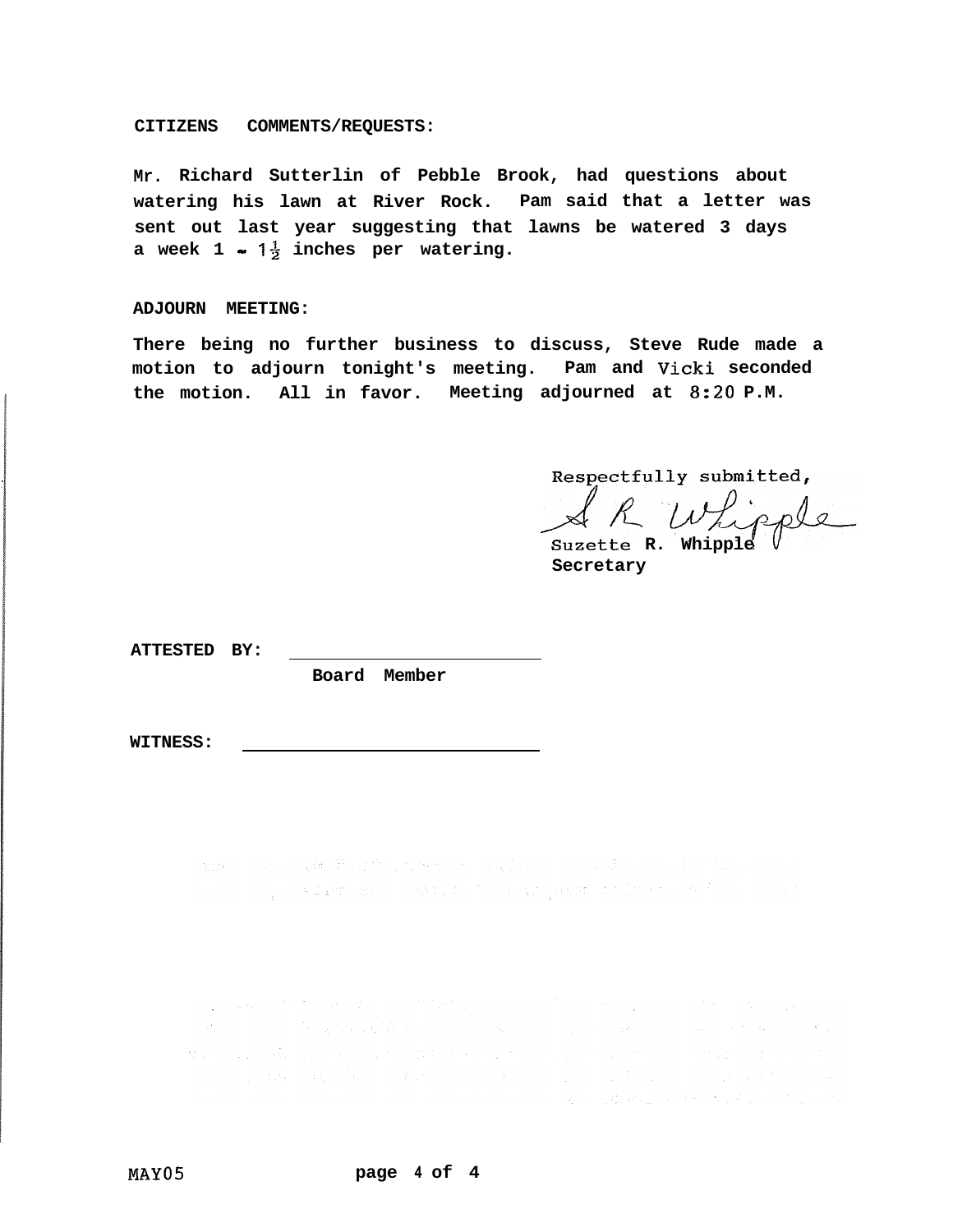### **CITIZENS COMMENTS/REQUESTS:**

**Mr. Richard Sutterlin of Pebble Brook, had questions about watering his lawn at River Rock. Pam said that a letter was sent out last year suggesting that lawns be watered 3 days a** week  $1 - 1\frac{1}{2}$  inches per watering.

### **ADJOURN MEETING:**

**There being no further business to discuss, Steve Rude made a motion to adjourn tonight's meeting. Pam and Vicki seconded the motion. All in favor. Meeting adjourned at 8:20 P.M.**

Respectfully submitted,

R Whipple

Suzette R. Whippl **Secretary**

**ATTESTED BY:**

**Board Member**

**WITNESS:**

a provincial and the second state of the second parameter of the second second

a se composición de la constitución de la constitución de la constitución de la constitución de la constitució the control of the state of the control of the state of the control of the control of the control of the .<br>Maria de la calendaria de la calendaria de la calendaria de la calendaria de la calendaria de la calendaria de ステープのあん スラス・メライム けいしゃかい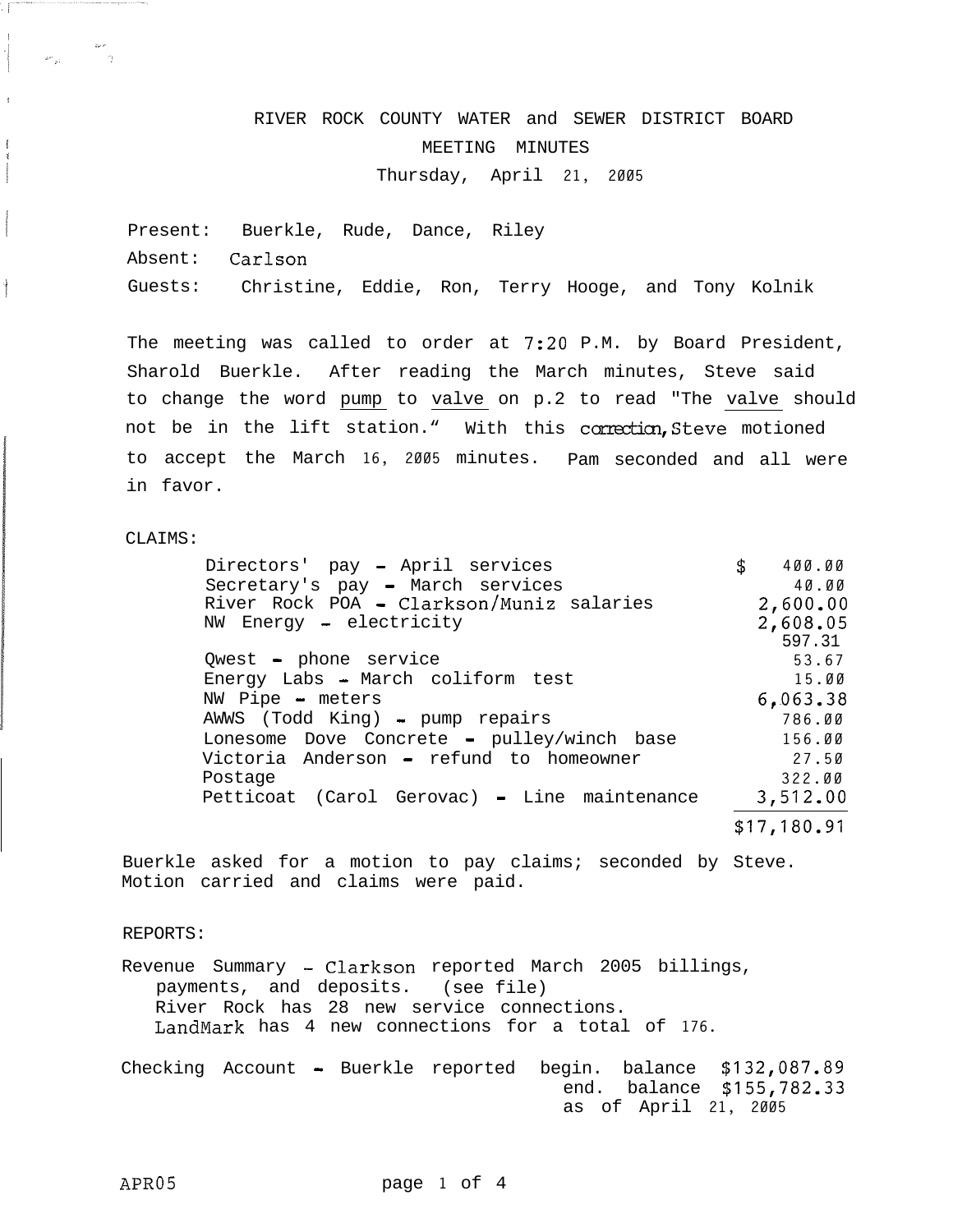# RIVER ROCK COUNTY WATER and SEWER DISTRICT BOARD MEETING MINUTES

Thursday, April **21, 2005**

Present: Buerkle, Rude, Dance, Riley Absent: Carlson Guests: Christine, Eddie, Ron, Terry Hooge, and Tony Kolnik

The meeting was called to order at 7:20 P.M. by Board President, Sharold Buerkle. After reading the March minutes, Steve said to change the word pump to valve on p.2 to read "The valve should not be in the lift station." With this correction, Steve motioned to accept the March **16, 2005** minutes. Pam seconded and all were in favor.

# CLAIMS:

/

I I

!

 $\begin{array}{c} \hline \rule{0pt}{2.5ex} \rule{0pt}{2.5ex} \rule{0pt}{2.5ex} \rule{0pt}{2.5ex} \rule{0pt}{2.5ex} \rule{0pt}{2.5ex} \rule{0pt}{2.5ex} \rule{0pt}{2.5ex} \rule{0pt}{2.5ex} \rule{0pt}{2.5ex} \rule{0pt}{2.5ex} \rule{0pt}{2.5ex} \rule{0pt}{2.5ex} \rule{0pt}{2.5ex} \rule{0pt}{2.5ex} \rule{0pt}{2.5ex} \rule{0pt}{2.5ex} \rule{0pt}{2.5ex} \rule{0pt}{2.5ex} \$ 

.! ..,, "'!

| Directors' pay - April services              | \$<br>400.00 |
|----------------------------------------------|--------------|
| Secretary's pay - March services             | 40.00        |
| River Rock POA - Clarkson/Muniz salaries     | 2,600.00     |
| NW Energy - electricity                      | 2,608.05     |
|                                              | 597.31       |
| Qwest - phone service                        | 53.67        |
| Energy Labs - March coliform test            | 15.00        |
| NW Pipe - meters                             | 6,063.38     |
| AWWS (Todd King) - pump repairs              | 786.00       |
| Lonesome Dove Concrete - pulley/winch base   | 156.00       |
| Victoria Anderson - refund to homeowner      | 27.50        |
| Postage                                      | 322.00       |
| Petticoat (Carol Gerovac) - Line maintenance | 3,512.00     |
|                                              | \$17,180.91  |

Buerkle asked for a motion to pay claims; seconded by Steve. Motion carried and claims were paid.

### REPORTS:

Revenue Summary - Clarkson reported March 2005 billings, payments, and deposits. (see file) River Rock has 28 new service connections. LandMark has 4 new connections for a total of **176.**

Checking Account - Buerkle reported begin. balance **\$132,087.89** end. balance **\$155,782.33** as of April **21, 2005**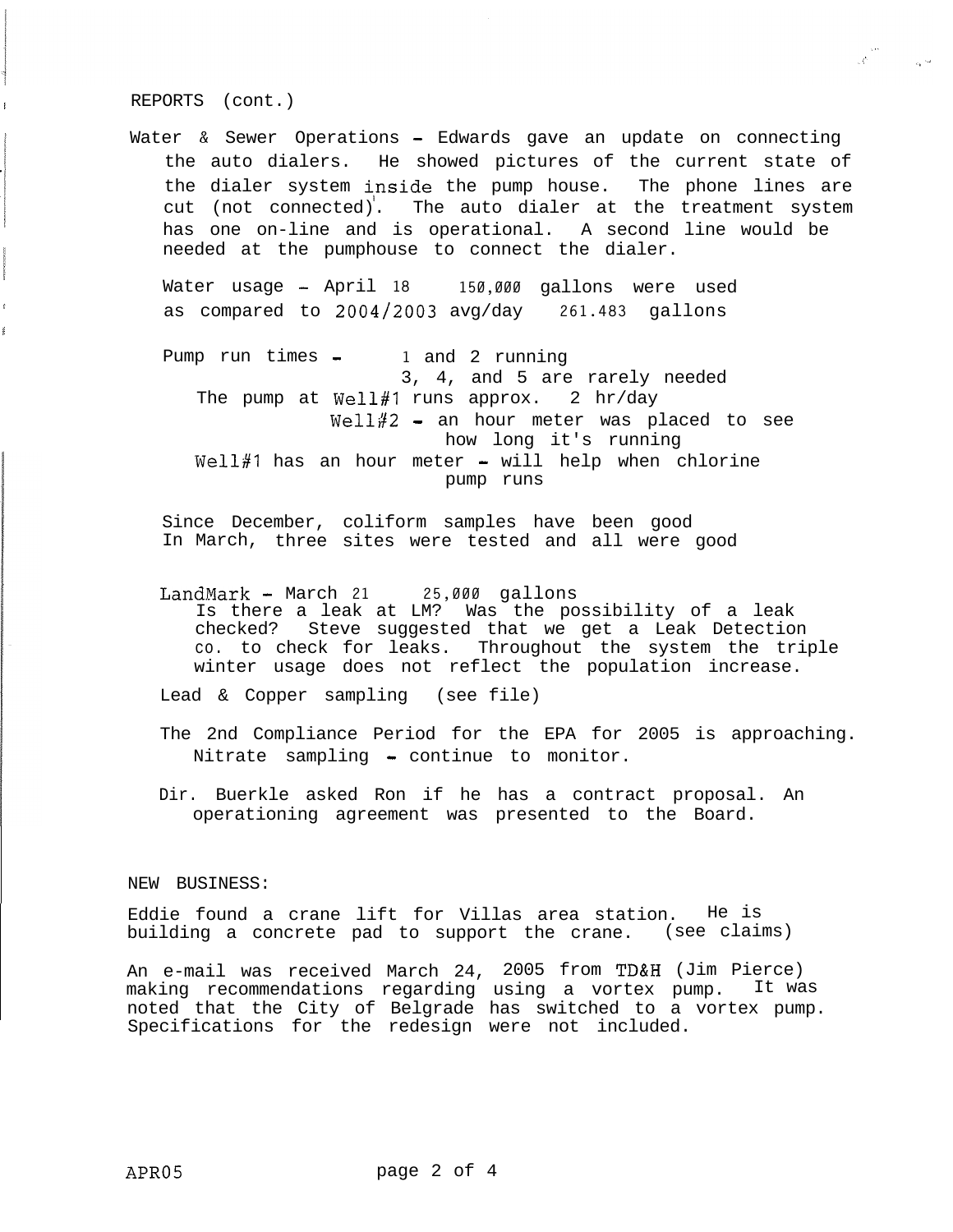REPORTS (cont.)

Water & Sewer Operations - Edwards gave an update on connecting the auto dialers. He showed pictures of the current state of the dialer system inside the pump house. The phone lines are cut (not connected). The auto dialer at the treatment system has one on-line and is operational. A second line would be needed at the pumphouse to connect the dialer.

 $\label{eq:3.1} \begin{array}{ll} \mathcal{A} & \mathcal{A} \\ \mathcal{A} & \mathcal{A} \end{array}$ 

Water usage - April **18 150,000** gallons were used as compared to 2004/2003 avg/day **261.483** gallons

Pump run times - **1** and 2 running 3, 4, and 5 are rarely needed The pump at Well#1 runs approx. 2  $hr/day$  $Well#2 - an hour meter was placed to see$ how long it's running  $Well#1$  has an hour meter - will help when chlorine pump runs

Since December, coliform samples have been good In March, three sites were tested and all were good

LandMark - March **21 25,000** gallons Is there a leak at LM? Was the possibility of a leak checked? Steve suggested that we get a Leak Detection co. to check for leaks. Throughout the system the triple winter usage does not reflect the population increase.

Lead & Copper sampling (see file)

The 2nd Compliance Period for the EPA for 2005 is approaching. Nitrate sampling - continue to monitor.

Dir. Buerkle asked Ron if he has a contract proposal. An operationing agreement was presented to the Board.

NEW BUSINESS:

Eddie found a crane lift for Villas area station. He is building a concrete pad to support the crane. (see claims)

An e-mail was received March 24, 2005 from TD&H (Jim Pierce) making recommendations regarding using a vortex pump. It was noted that the City of Belgrade has switched to a vortex pump. Specifications for the redesign were not included.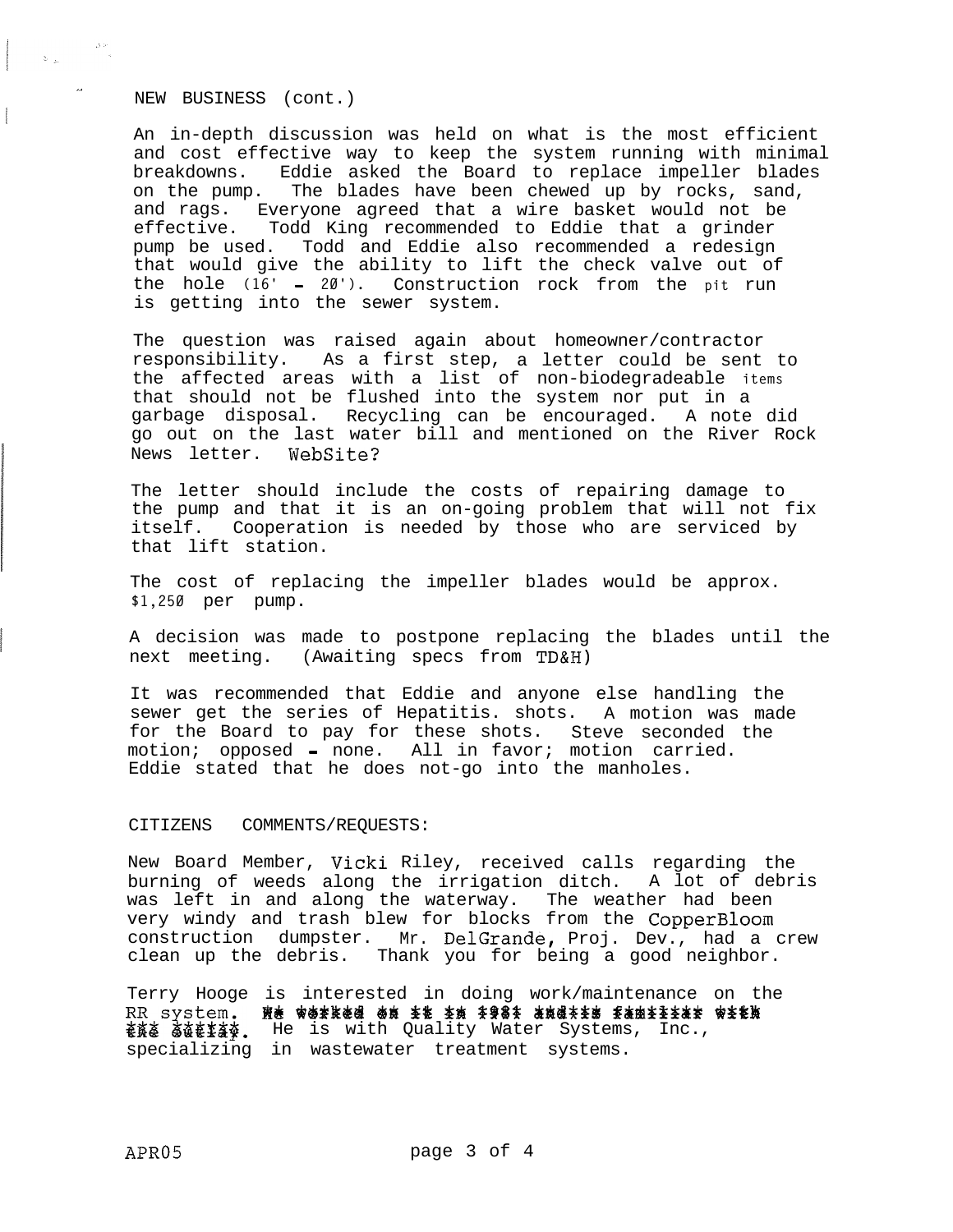NEW BUSINESS (cont.)

 $\alpha$  and  $\beta$  . The set of  $\beta$ 

An in-depth discussion was held on what is the most efficient and cost effective way to keep the system running with minimal breakdowns. Eddie asked the Board to replace impeller blades on the pump. The blades have been chewed up by rocks, sand, and rags. Everyone agreed that a wire basket would not be effective. Todd King recommended to Eddie that a grinder<br>pump be used. Todd and Eddie also recommended a redesign Todd and Eddie also recommended a redesign that would give the ability to lift the check valve out of the hole **(16'** - **20').** Construction rock from the **pit** run is getting into the sewer system.

The question was raised again about homeowner/contractor responsibility. As a first step, a letter could be sent to the affected areas with a list of non-biodegradeable **items** that should not be flushed into the system nor put in a garbage disposal. Recycling can be encouraged. A note did go out on the last water bill and mentioned on the River Rock News letter. WebSite?

The letter should include the costs of repairing damage to the pump and that it is an on-going problem that will not fix itself. Cooperation is needed by those who are serviced by that lift station.

The cost of replacing the impeller blades would be approx. **\$1,250** per pump.

A decision was made to postpone replacing the blades until the next meeting. (Awaiting specs from TD&H)

It was recommended that Eddie and anyone else handling the sewer get the series of Hepatitis. shots. A motion was made for the Board to pay for these shots. Steve seconded the motion; opposed - none. All in favor; motion carried. Eddie stated that he does not-go into the manholes.

### CITIZENS COMMENTS/REQUESTS:

New Board Member, Vicki Riley, received calls regarding the burning of weeds along the irrigation ditch. A lot of debris was left in and along the waterway. The weather had been very windy and trash blew for blocks from the CopperBloom construction dumpster. Mr. DelGrande, Proj. Dev., had a crew clean up the debris. Thank you for being a good neighbor.

Terry Hooge is interested in doing work/maintenance on the th System: he werked on it in your data radiiii RR system. He worked on it in \$98% and\*\*\* famirix specializing in wastewater treatment systems.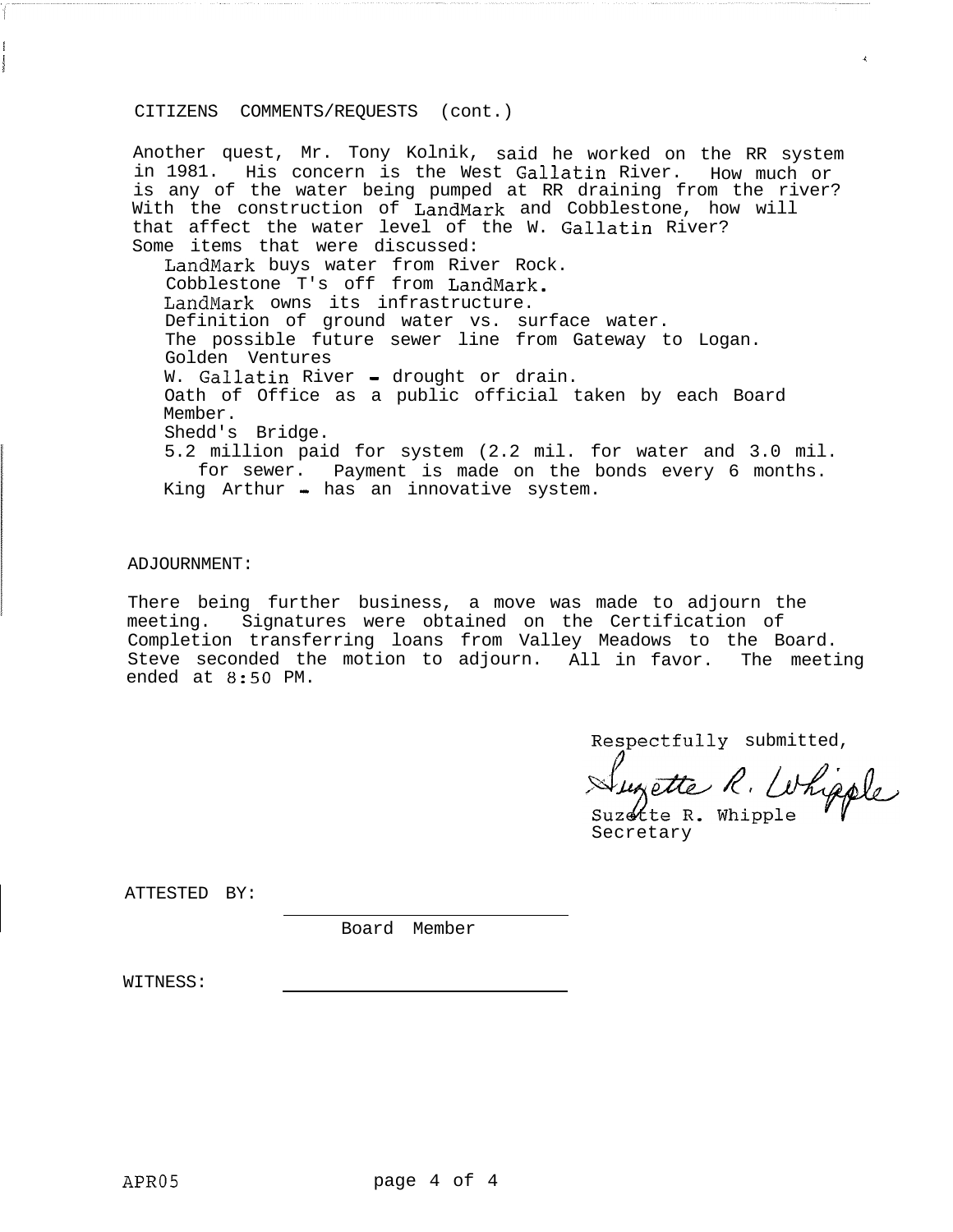# CITIZENS COMMENTS/REQUESTS (cont.)

Another quest, Mr. Tony Kolnik, said he worked on the RR system in 1981. His concern is the West Gallatin River. How much or is any of the water being pumped at RR draining from the river? With the construction of LandMark and Cobblestone, how will that affect the water level of the W. Gallatin River? Some items that were discussed: LandMark buys water from River Rock. Cobblestone T's off from LandMark. LandMark owns its infrastructure. Definition of ground water vs. surface water. The possible future sewer line from Gateway to Logan. Golden Ventures W. Gallatin River - drought or drain. Oath of Office as a public official taken by each Board Member. Shedd's Bridge. 5.2 million paid for system (2.2 mil. for water and 3.0 mil. for sewer. Payment is made on the bonds every 6 months. King  $Arthur - has an innovative system.$ 

j i komunisti komunisti komunisti komunisti komunisti komunisti komunisti komunisti komunisti komunisti komuni<br>Isto

# ADJOURNMENT:

I

There being further business, a move was made to adjourn the meeting. Signatures were obtained on the Certification of Completion transferring loans from Valley Meadows to the Board. Steve seconded the motion to adjourn. All in favor. The meeting ended at 8:50 PM.

Respectfully submitted,

Suzette R. Whipple

Suzette R. Whipple Secretary

ATTESTED BY:

Board Member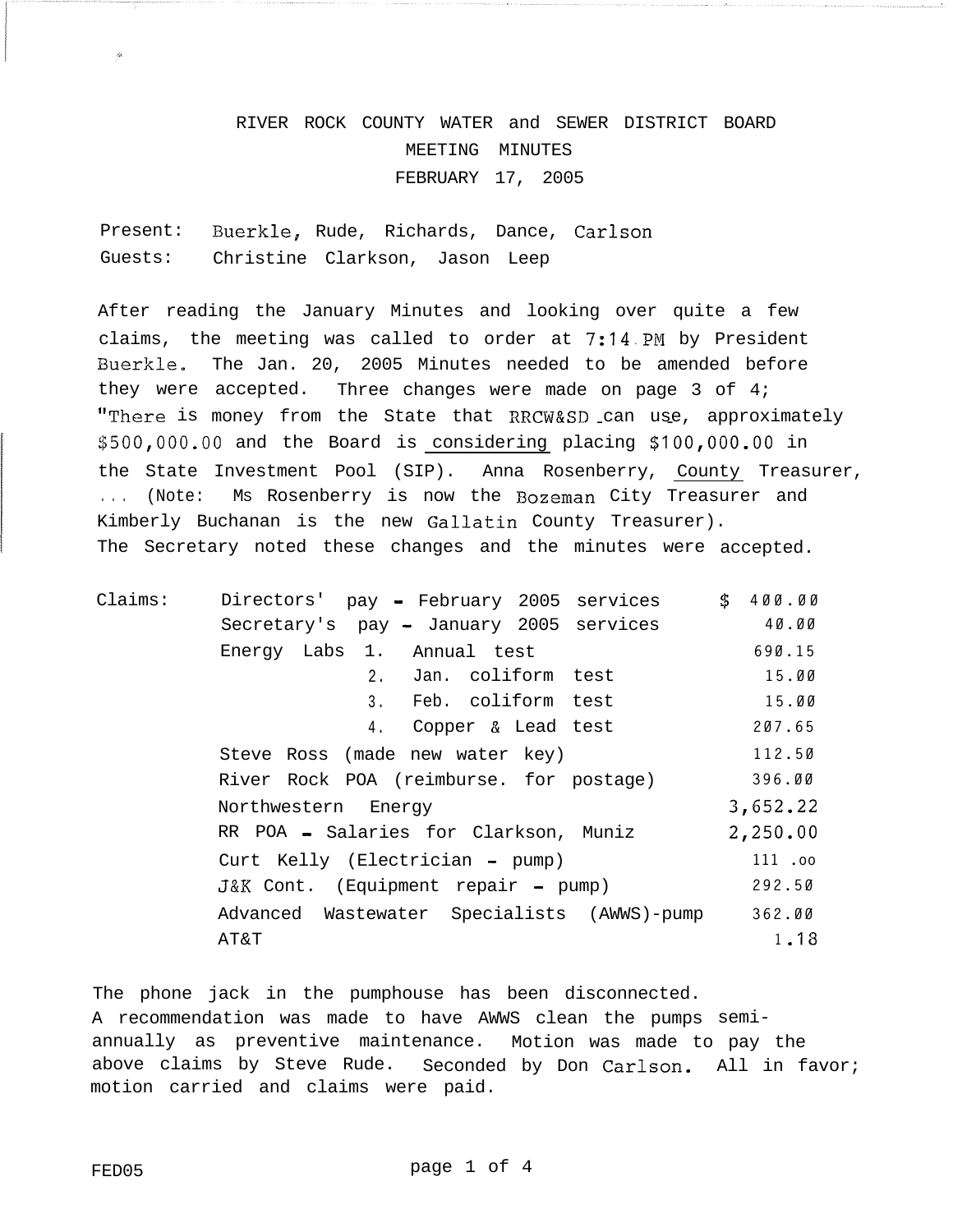# RIVER ROCK COUNTY WATER and SEWER DISTRICT BOARD MEETING MINUTES FEBRUARY 17, 2005

Present: Buerkle, Rude, Richards, Dance, Carlson Guests: Christine Clarkson, Jason Leep

After reading the January Minutes and looking over quite a few claims, the meeting was called to order at 7:14.PM by President Buerkle. The Jan. 20, 2005 Minutes needed to be amended before they were accepted. Three changes were made on page 3 of 4; "There is money from the State that RRCW&SD can use, approximately \$500,000.00 and the Board is considering placing \$100,000.00 in the State Investment Pool (SIP). Anna Rosenberry, County Treasurer, . . . (Note: MS Rosenberry is now the Rozeman City Treasurer and Kimberly Buchanan is the new Gallatin County Treasurer). The Secretary noted these changes and the minutes were accepted.

| Claims: | Directors'<br>pay - February 2005 services  | \$400.00 |
|---------|---------------------------------------------|----------|
|         | Secretary's pay - January 2005 services     | 40.00    |
|         | Energy Labs 1. Annual test                  | 690.15   |
|         | Jan. coliform test<br>2.                    | 15.00    |
|         | Feb. coliform test<br>3.                    | 15.00    |
|         | Copper & Lead test<br>4.                    | 207.65   |
|         | Steve Ross (made new water key)             | 112.50   |
|         | River Rock POA (reimburse. for postage)     | 396.00   |
|         | Northwestern Energy                         | 3,652.22 |
|         | RR POA - Salaries for Clarkson, Muniz       | 2,250.00 |
|         | Curt Kelly (Electrician - pump)             | 111.00   |
|         | J&K Cont. (Equipment repair - pump)         | 292.50   |
|         | Advanced Wastewater Specialists (AWWS)-pump | 362.00   |
|         | AT&T                                        | 1,18     |

The phone jack in the pumphouse has been disconnected. A recommendation was made to have AWWS clean the pumps semiannually as preventive maintenance. Motion was made to pay the above claims by Steve Rude. Seconded by Don Carlson. All in favor; motion carried and claims were paid.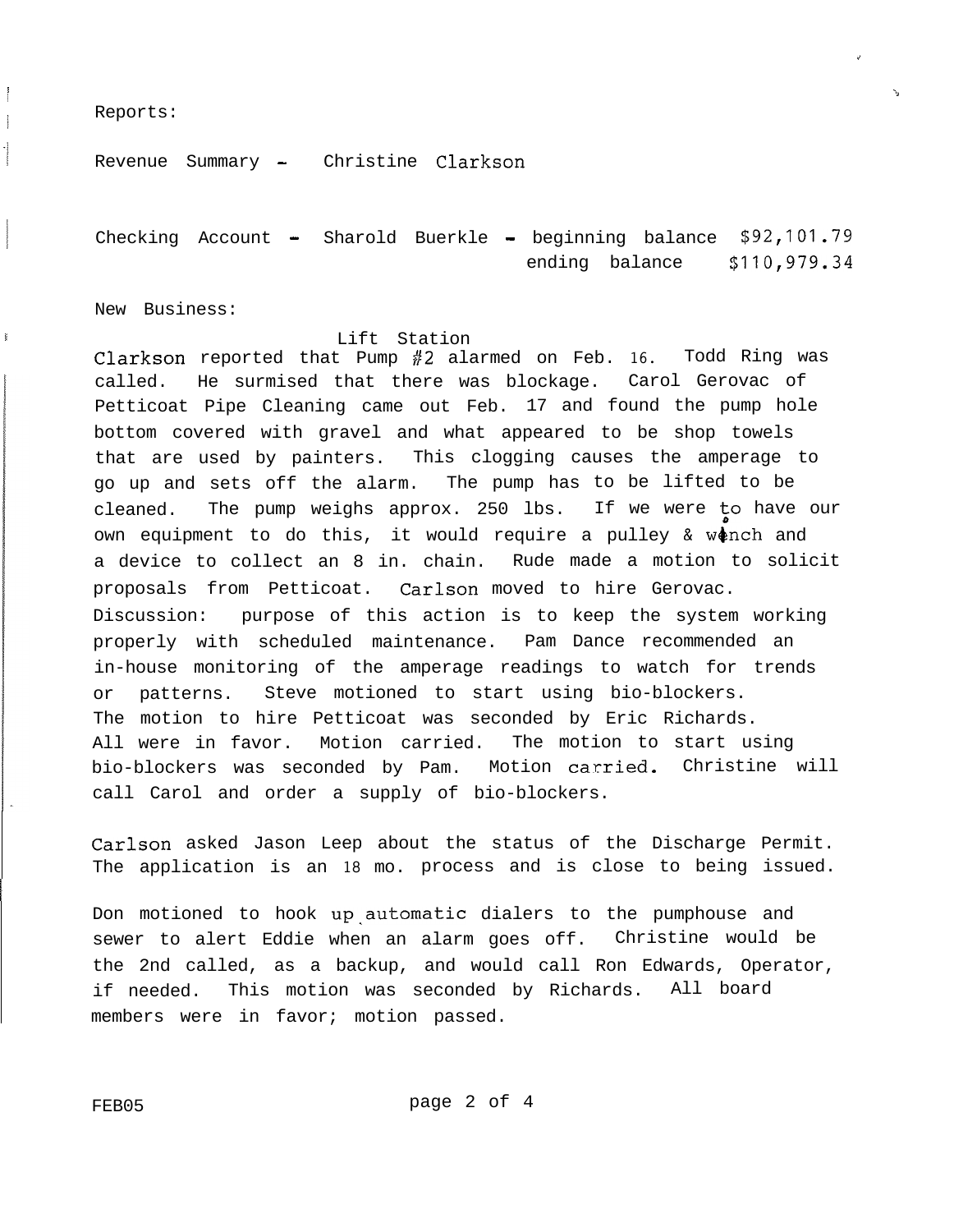Reports:

/ I

Revenue Summary - Christine Clarkson

Checking Account - Sharold Buerkle - beginning balance **\$92,101.79** ending balance **\$110,979.34**

i

'A

New Business:

### **Example 2** is the contract of the contract of the contract of the contract of the contract of the contract of the contract of the contract of the contract of the contract of the contract of the contract of the contract of

Clarkson reported that Pump #2 alarmed on Feb. **16.** Todd Ring was called. He surmised that there was blockage. Carol Gerovac of Petticoat Pipe Cleaning came out Feb. 17 and found the pump hole bottom covered with gravel and what appeared to be shop towels that are used by painters. This clogging causes the amperage to go up and sets off the alarm. The pump has to be lifted to be cleaned. The pump weighs approx. 250 lbs. If we were fo have our own equipment to do this, it would require a pulley  $\&$  w $\phi$ nch and a device to collect an 8 in. chain. Rude made a motion to solicit proposals from Petticoat. Carlson moved to hire Gerovac. Discussion: purpose of this action is to keep the system working properly with scheduled maintenance. Pam Dance recommended an in-house monitoring of the amperage readings to watch for trends or patterns. Steve motioned to start using bio-blockers. The motion to hire Petticoat was seconded by Eric Richards. All were in favor. Motion carried. The motion to start using bio-blockers was seconded by Pam. Motion carried. Christine will call Carol and order a supply of bio-blockers.

Carlson asked Jason Leep about the status of the Discharge Permit. The application is an **18** mo. process and is close to being issued.

Don motioned to hook up automatic dialers to the pumphouse and sewer to alert Eddie when an alarm goes off. Christine would be the 2nd called, as a backup, and would call Ron Edwards, Operator, if needed. This motion was seconded by Richards. All board members were in favor; motion passed.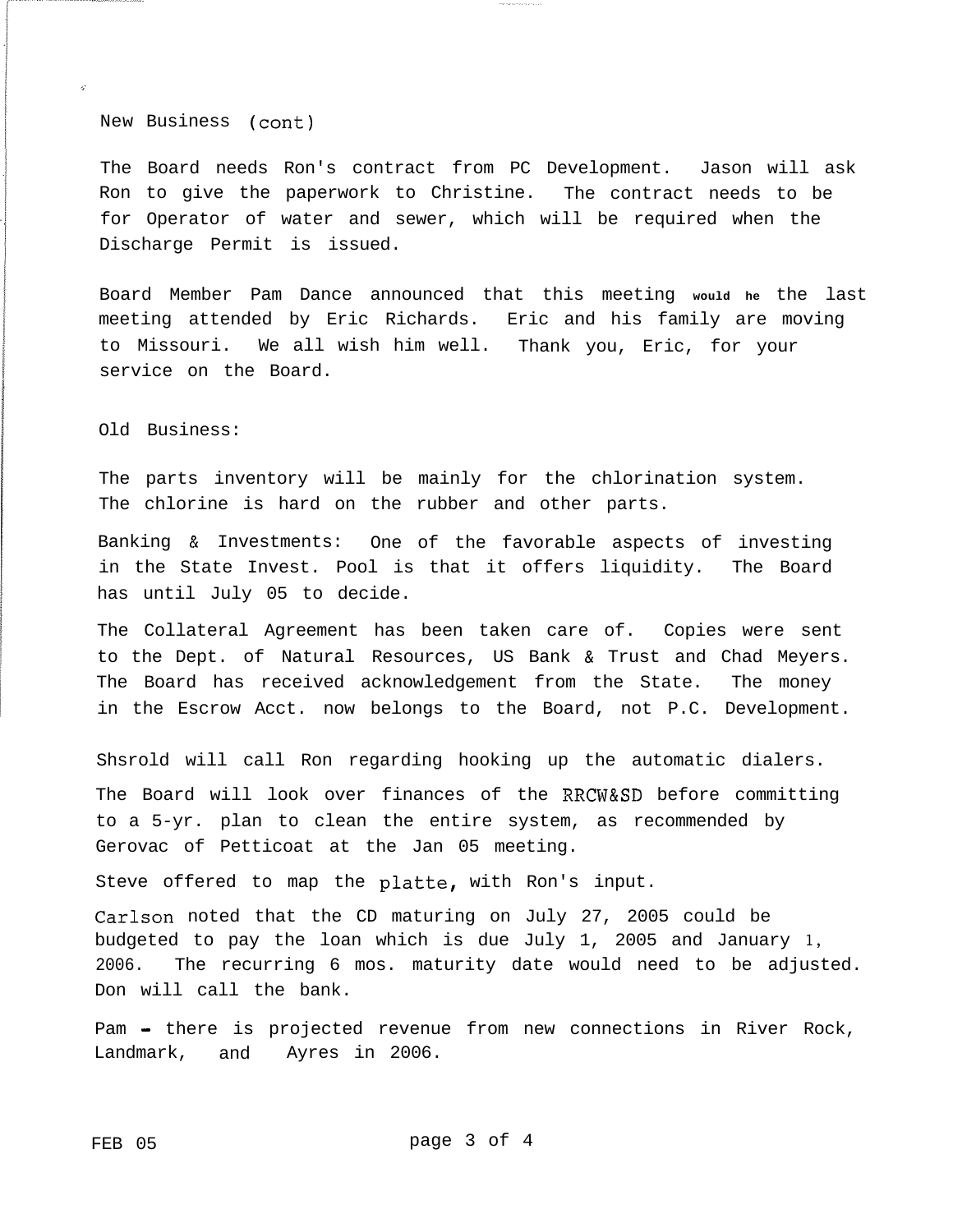New Business (cont)

The Board needs Ron's contract from PC Development. Jason will ask Ron to give the paperwork to Christine. The contract needs to be for Operator of water and sewer, which will be required when the Discharge Permit is issued.

Board Member Pam Dance announced that this meeting **would he** the last meeting attended by Eric Richards. Eric and his family are moving to Missouri. We all wish him well. Thank you, Eric, for your service on the Board.

Old Business:

The parts inventory will be mainly for the chlorination system. The chlorine is hard on the rubber and other parts.

Banking & Investments: One of the favorable aspects of investing in the State Invest. Pool is that it offers liquidity. The Board has until July 05 to decide.

The Collateral Agreement has been taken care of. Copies were sent to the Dept. of Natural Resources, US Bank & Trust and Chad Meyers. The Board has received acknowledgement from the State. The money in the Escrow Acct. now belongs to the Board, not P.C. Development.

Shsrold will call Ron regarding hooking up the automatic dialers. The Board will look over finances of the RRCW&SD before committing to a 5-yr. plan to clean the entire system, as recommended by Gerovac of Petticoat at the Jan 05 meeting.

Steve offered to map the platte, with Ron's input.

Carlson noted that the CD maturing on July 27, 2005 could be budgeted to pay the loan which is due July 1, 2005 and January **1,** 2006. The recurring 6 mos. maturity date would need to be adjusted. Don will call the bank.

Pam - there is projected revenue from new connections in River Rock, Landmark, and Ayres in 2006.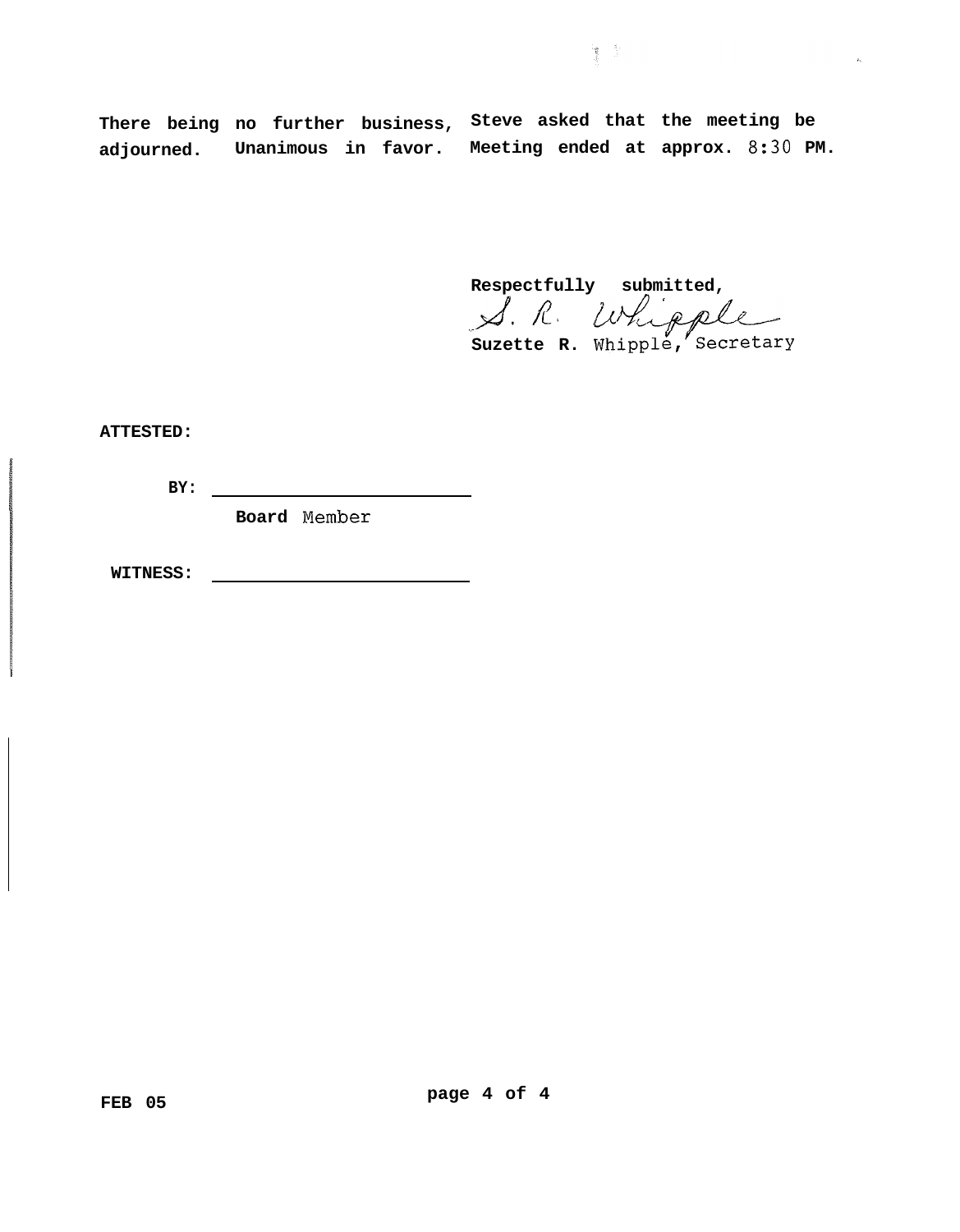**There being no further business, Steve asked that the meeting be adjourned. Unanimous in favor. Meeting ended at approx. 8:30 PM.**

**Respectfully submitted,**

簿 全

 $\mathbf{A}_\mathrm{c}$ 

**Suzette R. Whippl&,YSecretary**

**ATTESTED:**

**BY:**

**Board Nember**